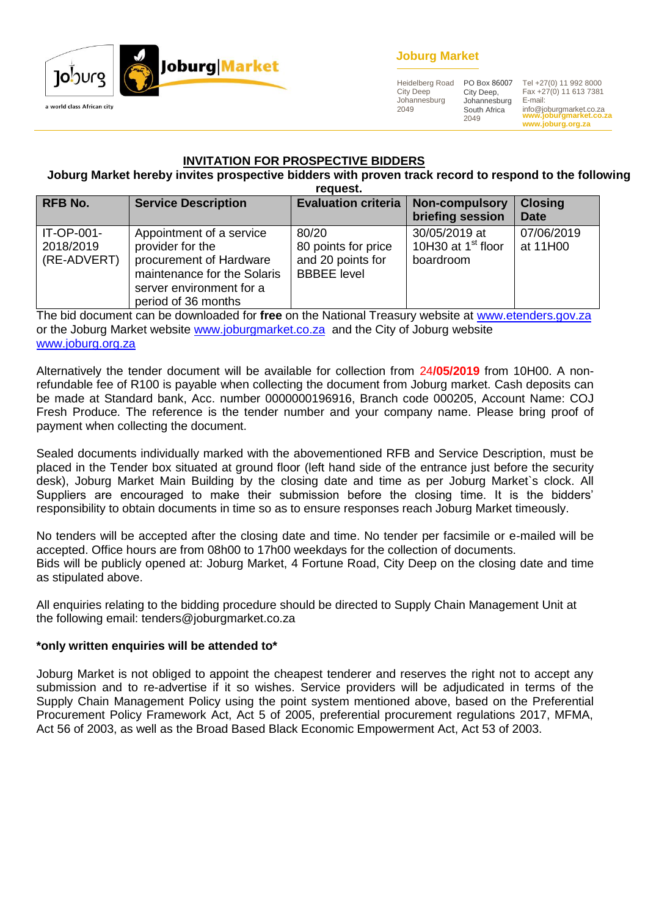

### **Joburg Market**

Heidelberg Road City Deep Johannesburg 2049

City Deep, Johannesburg South Africa 2049

**www.joburgmarket.co.za** info@joburgmarket.co.za **www.joburg.org.za** PO Box 86007 Tel +27(0) 11 992 8000 Fax +27(0) 11 613 7381 E-mail:

### **INVITATION FOR PROSPECTIVE BIDDERS**

#### **Joburg Market hereby invites prospective bidders with proven track record to respond to the following request.**

| <b>RFB No.</b>                         | <b>Service Description</b>                                                                                                                                | <b>Evaluation criteria</b>                                              | <b>Non-compulsory</b><br>briefing session                    | <b>Closing</b><br><b>Date</b> |
|----------------------------------------|-----------------------------------------------------------------------------------------------------------------------------------------------------------|-------------------------------------------------------------------------|--------------------------------------------------------------|-------------------------------|
| IT-OP-001-<br>2018/2019<br>(RE-ADVERT) | Appointment of a service<br>provider for the<br>procurement of Hardware<br>maintenance for the Solaris<br>server environment for a<br>period of 36 months | 80/20<br>80 points for price<br>and 20 points for<br><b>BBBEE</b> level | 30/05/2019 at<br>10H30 at 1 <sup>st</sup> floor<br>boardroom | 07/06/2019<br>at 11H00        |

The bid document can be downloaded for **free** on the National Treasury website at [www.etenders.gov.za](http://www.etenders.gov.za/) or the Joburg Market website [www.joburgmarket.co.za](http://www.joburgmarket.co.za/) and the City of Joburg website [www.joburg.org.za](http://www.joburg.org.za/)

Alternatively the tender document will be available for collection from 24**/05/2019** from 10H00. A nonrefundable fee of R100 is payable when collecting the document from Joburg market. Cash deposits can be made at Standard bank, Acc. number 0000000196916, Branch code 000205, Account Name: COJ Fresh Produce. The reference is the tender number and your company name. Please bring proof of payment when collecting the document.

Sealed documents individually marked with the abovementioned RFB and Service Description, must be placed in the Tender box situated at ground floor (left hand side of the entrance just before the security desk), Joburg Market Main Building by the closing date and time as per Joburg Market`s clock. All Suppliers are encouraged to make their submission before the closing time. It is the bidders' responsibility to obtain documents in time so as to ensure responses reach Joburg Market timeously.

No tenders will be accepted after the closing date and time. No tender per facsimile or e-mailed will be accepted. Office hours are from 08h00 to 17h00 weekdays for the collection of documents. Bids will be publicly opened at: Joburg Market, 4 Fortune Road, City Deep on the closing date and time as stipulated above.

All enquiries relating to the bidding procedure should be directed to Supply Chain Management Unit at the following email: tenders@joburgmarket.co.za

### **\*only written enquiries will be attended to\***

Joburg Market is not obliged to appoint the cheapest tenderer and reserves the right not to accept any submission and to re-advertise if it so wishes. Service providers will be adjudicated in terms of the Supply Chain Management Policy using the point system mentioned above, based on the Preferential Procurement Policy Framework Act, Act 5 of 2005, preferential procurement regulations 2017, MFMA, Act 56 of 2003, as well as the Broad Based Black Economic Empowerment Act, Act 53 of 2003.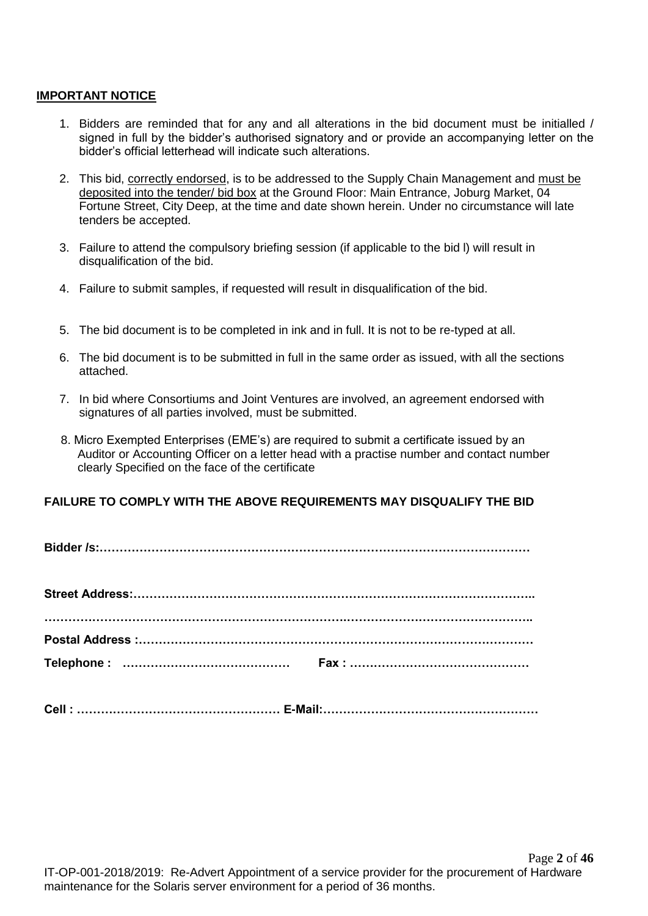### **IMPORTANT NOTICE**

- 1. Bidders are reminded that for any and all alterations in the bid document must be initialled / signed in full by the bidder's authorised signatory and or provide an accompanying letter on the bidder's official letterhead will indicate such alterations.
- 2. This bid, correctly endorsed, is to be addressed to the Supply Chain Management and must be deposited into the tender/ bid box at the Ground Floor: Main Entrance, Joburg Market, 04 Fortune Street, City Deep, at the time and date shown herein. Under no circumstance will late tenders be accepted.
- 3. Failure to attend the compulsory briefing session (if applicable to the bid l) will result in disqualification of the bid.
- 4. Failure to submit samples, if requested will result in disqualification of the bid.
- 5. The bid document is to be completed in ink and in full. It is not to be re-typed at all.
- 6. The bid document is to be submitted in full in the same order as issued, with all the sections attached.
- 7. In bid where Consortiums and Joint Ventures are involved, an agreement endorsed with signatures of all parties involved, must be submitted.
- 8. Micro Exempted Enterprises (EME's) are required to submit a certificate issued by an Auditor or Accounting Officer on a letter head with a practise number and contact number clearly Specified on the face of the certificate

### **FAILURE TO COMPLY WITH THE ABOVE REQUIREMENTS MAY DISQUALIFY THE BID**

**Cell : …………………………………………… E-Mail:………………………………………………**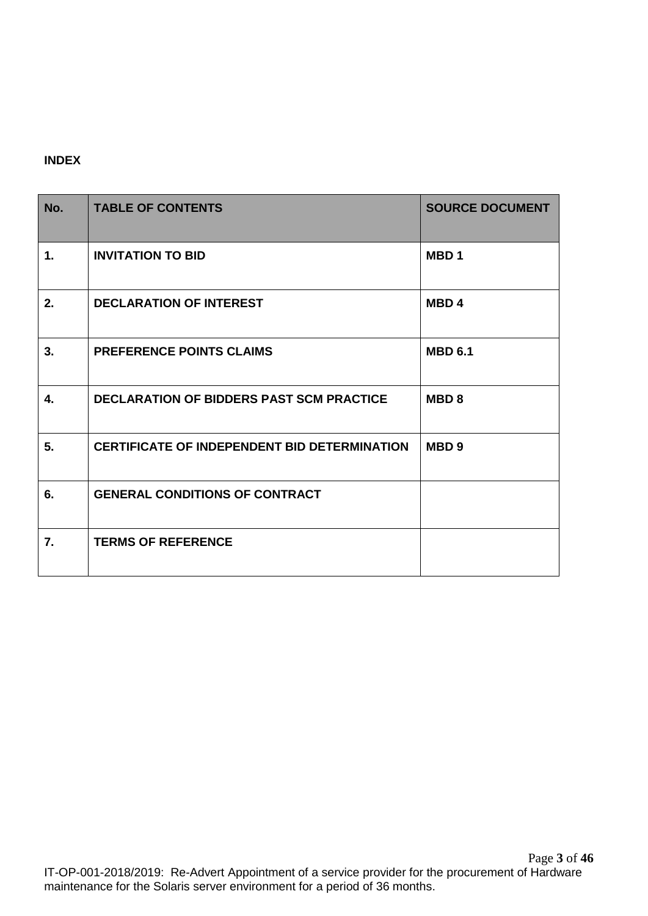### **INDEX**

| No.            | <b>TABLE OF CONTENTS</b>                            | <b>SOURCE DOCUMENT</b> |
|----------------|-----------------------------------------------------|------------------------|
| $\mathbf{1}$ . | <b>INVITATION TO BID</b>                            | MBD <sub>1</sub>       |
| 2.             | <b>DECLARATION OF INTEREST</b>                      | MBD <sub>4</sub>       |
| 3.             | <b>PREFERENCE POINTS CLAIMS</b>                     | <b>MBD 6.1</b>         |
| 4.             | <b>DECLARATION OF BIDDERS PAST SCM PRACTICE</b>     | <b>MBD8</b>            |
| 5.             | <b>CERTIFICATE OF INDEPENDENT BID DETERMINATION</b> | MBD <sub>9</sub>       |
| 6.             | <b>GENERAL CONDITIONS OF CONTRACT</b>               |                        |
| 7.             | <b>TERMS OF REFERENCE</b>                           |                        |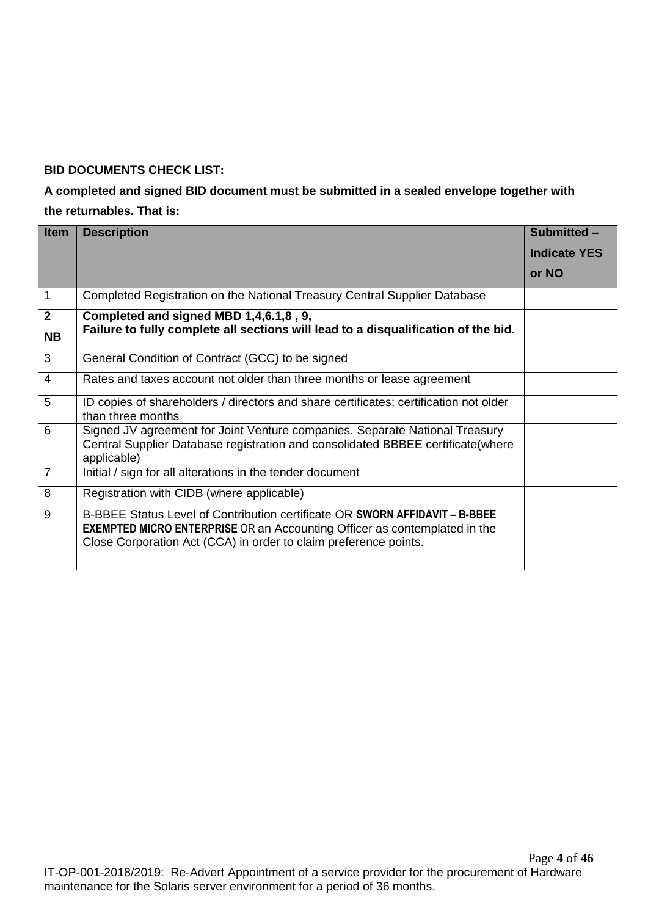### **BID DOCUMENTS CHECK LIST:**

## **A completed and signed BID document must be submitted in a sealed envelope together with the returnables. That is:**

| <b>Item</b>    | <b>Description</b>                                                                                                                                                                                                                  | Submitted -         |
|----------------|-------------------------------------------------------------------------------------------------------------------------------------------------------------------------------------------------------------------------------------|---------------------|
|                |                                                                                                                                                                                                                                     | <b>Indicate YES</b> |
|                |                                                                                                                                                                                                                                     | or NO               |
| $\mathbf 1$    | Completed Registration on the National Treasury Central Supplier Database                                                                                                                                                           |                     |
| $\overline{2}$ | Completed and signed MBD 1,4,6.1,8, 9,                                                                                                                                                                                              |                     |
| <b>NB</b>      | Failure to fully complete all sections will lead to a disqualification of the bid.                                                                                                                                                  |                     |
| 3              | General Condition of Contract (GCC) to be signed                                                                                                                                                                                    |                     |
| $\overline{4}$ | Rates and taxes account not older than three months or lease agreement                                                                                                                                                              |                     |
| 5              | ID copies of shareholders / directors and share certificates; certification not older<br>than three months                                                                                                                          |                     |
| 6              | Signed JV agreement for Joint Venture companies. Separate National Treasury<br>Central Supplier Database registration and consolidated BBBEE certificate(where<br>applicable)                                                       |                     |
| $\overline{7}$ | Initial / sign for all alterations in the tender document                                                                                                                                                                           |                     |
| 8              | Registration with CIDB (where applicable)                                                                                                                                                                                           |                     |
| 9              | B-BBEE Status Level of Contribution certificate OR SWORN AFFIDAVIT - B-BBEE<br><b>EXEMPTED MICRO ENTERPRISE</b> OR an Accounting Officer as contemplated in the<br>Close Corporation Act (CCA) in order to claim preference points. |                     |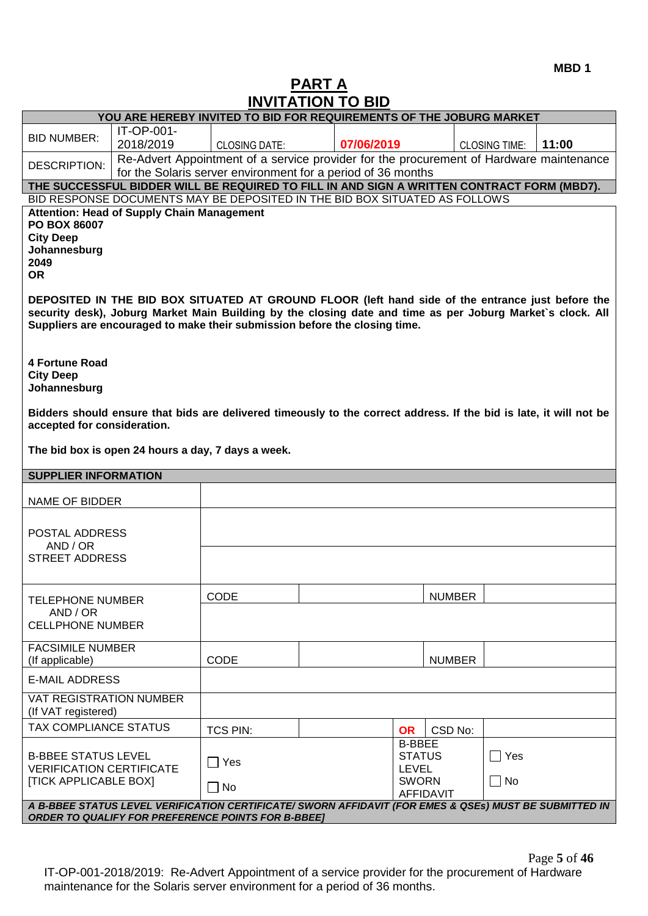## **PART A INVITATION TO BID**

| שוש טו ווטורווויווו<br>YOU ARE HEREBY INVITED TO BID FOR REQUIREMENTS OF THE JOBURG MARKET |                                                   |                                                                                                                                                                                                                                                                                               |  |                                                |               |                      |       |
|--------------------------------------------------------------------------------------------|---------------------------------------------------|-----------------------------------------------------------------------------------------------------------------------------------------------------------------------------------------------------------------------------------------------------------------------------------------------|--|------------------------------------------------|---------------|----------------------|-------|
| <b>BID NUMBER:</b>                                                                         | IT-OP-001-                                        |                                                                                                                                                                                                                                                                                               |  |                                                |               |                      |       |
|                                                                                            | 2018/2019                                         | <b>CLOSING DATE:</b>                                                                                                                                                                                                                                                                          |  | 07/06/2019                                     |               | <b>CLOSING TIME:</b> | 11:00 |
| DESCRIPTION:                                                                               |                                                   | Re-Advert Appointment of a service provider for the procurement of Hardware maintenance                                                                                                                                                                                                       |  |                                                |               |                      |       |
|                                                                                            |                                                   | for the Solaris server environment for a period of 36 months                                                                                                                                                                                                                                  |  |                                                |               |                      |       |
|                                                                                            |                                                   | THE SUCCESSFUL BIDDER WILL BE REQUIRED TO FILL IN AND SIGN A WRITTEN CONTRACT FORM (MBD7).<br>BID RESPONSE DOCUMENTS MAY BE DEPOSITED IN THE BID BOX SITUATED AS FOLLOWS                                                                                                                      |  |                                                |               |                      |       |
|                                                                                            |                                                   |                                                                                                                                                                                                                                                                                               |  |                                                |               |                      |       |
| PO BOX 86007<br><b>City Deep</b><br>Johannesburg<br>2049<br><b>OR</b>                      | <b>Attention: Head of Supply Chain Management</b> |                                                                                                                                                                                                                                                                                               |  |                                                |               |                      |       |
|                                                                                            |                                                   | DEPOSITED IN THE BID BOX SITUATED AT GROUND FLOOR (left hand side of the entrance just before the<br>security desk), Joburg Market Main Building by the closing date and time as per Joburg Market's clock. All<br>Suppliers are encouraged to make their submission before the closing time. |  |                                                |               |                      |       |
| 4 Fortune Road<br><b>City Deep</b><br>Johannesburg                                         |                                                   |                                                                                                                                                                                                                                                                                               |  |                                                |               |                      |       |
| accepted for consideration.                                                                |                                                   | Bidders should ensure that bids are delivered timeously to the correct address. If the bid is late, it will not be                                                                                                                                                                            |  |                                                |               |                      |       |
|                                                                                            |                                                   | The bid box is open 24 hours a day, 7 days a week.                                                                                                                                                                                                                                            |  |                                                |               |                      |       |
| <b>SUPPLIER INFORMATION</b>                                                                |                                                   |                                                                                                                                                                                                                                                                                               |  |                                                |               |                      |       |
| NAME OF BIDDER                                                                             |                                                   |                                                                                                                                                                                                                                                                                               |  |                                                |               |                      |       |
|                                                                                            |                                                   |                                                                                                                                                                                                                                                                                               |  |                                                |               |                      |       |
| POSTAL ADDRESS                                                                             |                                                   |                                                                                                                                                                                                                                                                                               |  |                                                |               |                      |       |
| AND / OR                                                                                   |                                                   |                                                                                                                                                                                                                                                                                               |  |                                                |               |                      |       |
| <b>STREET ADDRESS</b>                                                                      |                                                   |                                                                                                                                                                                                                                                                                               |  |                                                |               |                      |       |
|                                                                                            |                                                   |                                                                                                                                                                                                                                                                                               |  |                                                |               |                      |       |
| <b>TELEPHONE NUMBER</b>                                                                    |                                                   | CODE                                                                                                                                                                                                                                                                                          |  |                                                | <b>NUMBER</b> |                      |       |
| AND / OR<br><b>CELLPHONE NUMBER</b>                                                        |                                                   |                                                                                                                                                                                                                                                                                               |  |                                                |               |                      |       |
| <b>FACSIMILE NUMBER</b>                                                                    |                                                   |                                                                                                                                                                                                                                                                                               |  |                                                |               |                      |       |
| (If applicable)                                                                            |                                                   | CODE                                                                                                                                                                                                                                                                                          |  |                                                | <b>NUMBER</b> |                      |       |
| <b>E-MAIL ADDRESS</b>                                                                      |                                                   |                                                                                                                                                                                                                                                                                               |  |                                                |               |                      |       |
| <b>VAT REGISTRATION NUMBER</b><br>(If VAT registered)                                      |                                                   |                                                                                                                                                                                                                                                                                               |  |                                                |               |                      |       |
| TAX COMPLIANCE STATUS                                                                      |                                                   | <b>TCS PIN:</b>                                                                                                                                                                                                                                                                               |  | <b>OR</b>                                      | CSD No:       |                      |       |
| <b>B-BBEE STATUS LEVEL</b><br><b>VERIFICATION CERTIFICATE</b>                              |                                                   | $\Box$ Yes                                                                                                                                                                                                                                                                                    |  | <b>B-BBEE</b><br><b>STATUS</b><br><b>LEVEL</b> |               | $\Box$ Yes           |       |
| <b>[TICK APPLICABLE BOX]</b>                                                               |                                                   | $\Box$ No                                                                                                                                                                                                                                                                                     |  | <b>SWORN</b><br><b>AFFIDAVIT</b>               |               | $\Box$ No            |       |

Page **5** of **46** IT-OP-001-2018/2019: Re-Advert Appointment of a service provider for the procurement of Hardware maintenance for the Solaris server environment for a period of 36 months.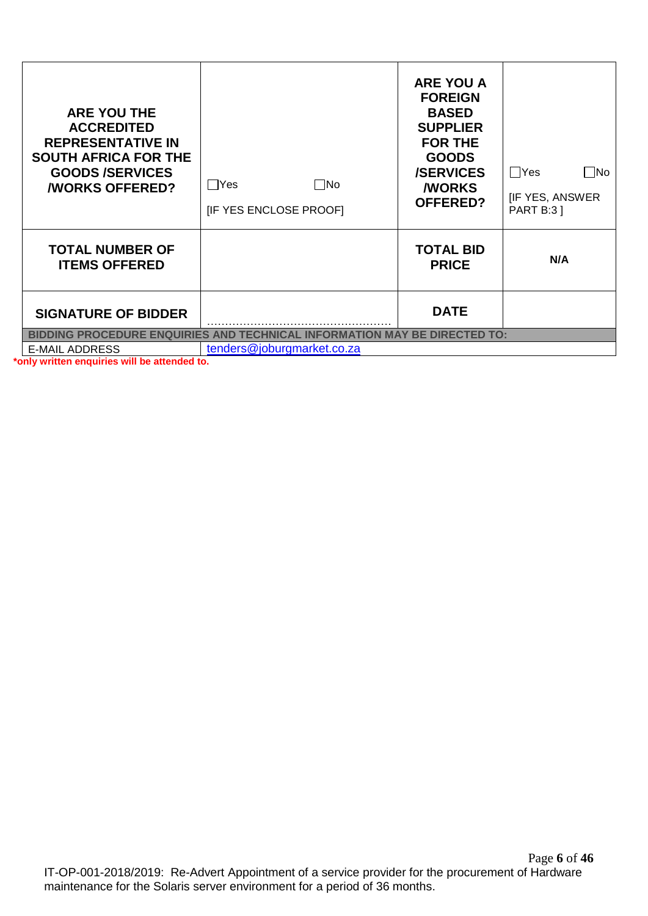| <b>ARE YOU THE</b><br><b>ACCREDITED</b><br><b>REPRESENTATIVE IN</b><br><b>SOUTH AFRICA FOR THE</b><br><b>GOODS/SERVICES</b><br><b><i>NORKS OFFERED?</i></b> | ∣ Yes<br>l INo<br>[IF YES ENCLOSE PROOF]                                         | <b>ARE YOU A</b><br><b>FOREIGN</b><br><b>BASED</b><br><b>SUPPLIER</b><br><b>FOR THE</b><br><b>GOODS</b><br><b>/SERVICES</b><br><b><i>NORKS</i></b><br><b>OFFERED?</b> | $\Box$ No<br>   Yes<br><b>IF YES, ANSWER</b><br><b>PART B:3 ]</b> |  |  |
|-------------------------------------------------------------------------------------------------------------------------------------------------------------|----------------------------------------------------------------------------------|-----------------------------------------------------------------------------------------------------------------------------------------------------------------------|-------------------------------------------------------------------|--|--|
| <b>TOTAL NUMBER OF</b><br><b>ITEMS OFFERED</b>                                                                                                              |                                                                                  | <b>TOTAL BID</b><br><b>PRICE</b>                                                                                                                                      | N/A                                                               |  |  |
| <b>SIGNATURE OF BIDDER</b>                                                                                                                                  |                                                                                  | <b>DATE</b>                                                                                                                                                           |                                                                   |  |  |
|                                                                                                                                                             | <b>BIDDING PROCEDURE ENQUIRIES AND TECHNICAL INFORMATION MAY BE DIRECTED TO:</b> |                                                                                                                                                                       |                                                                   |  |  |
| <b>E-MAIL ADDRESS</b>                                                                                                                                       | tenders@joburgmarket.co.za                                                       |                                                                                                                                                                       |                                                                   |  |  |

**\*only written enquiries will be attended to.**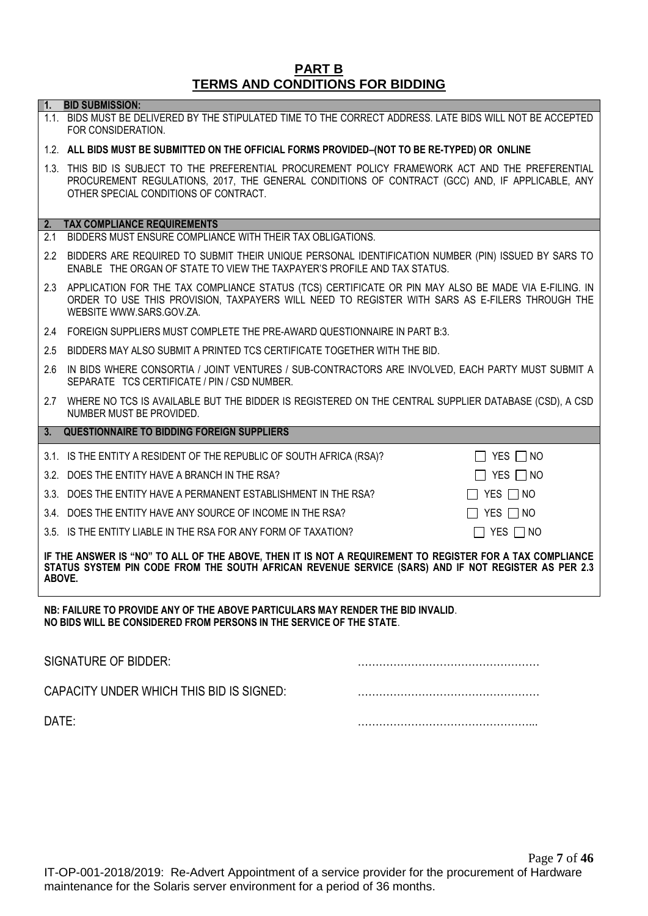### **PART B TERMS AND CONDITIONS FOR BIDDING**

1.1. BIDS MUST BE DELIVERED BY THE STIPULATED TIME TO THE CORRECT ADDRESS. LATE BIDS WILL NOT BE ACCEPTED

**1. BID SUBMISSION:**

## FOR CONSIDERATION. 1.2. **ALL BIDS MUST BE SUBMITTED ON THE OFFICIAL FORMS PROVIDED–(NOT TO BE RE-TYPED) OR ONLINE** 1.3. THIS BID IS SUBJECT TO THE PREFERENTIAL PROCUREMENT POLICY FRAMEWORK ACT AND THE PREFERENTIAL PROCUREMENT REGULATIONS, 2017, THE GENERAL CONDITIONS OF CONTRACT (GCC) AND, IF APPLICABLE, ANY OTHER SPECIAL CONDITIONS OF CONTRACT. **2. TAX COMPLIANCE REQUIREMENTS** 2.1 BIDDERS MUST ENSURE COMPLIANCE WITH THEIR TAX OBLIGATIONS. 2.2 BIDDERS ARE REQUIRED TO SUBMIT THEIR UNIQUE PERSONAL IDENTIFICATION NUMBER (PIN) ISSUED BY SARS TO ENABLE THE ORGAN OF STATE TO VIEW THE TAXPAYER'S PROFILE AND TAX STATUS. 2.3 APPLICATION FOR THE TAX COMPLIANCE STATUS (TCS) CERTIFICATE OR PIN MAY ALSO BE MADE VIA E-FILING. IN ORDER TO USE THIS PROVISION, TAXPAYERS WILL NEED TO REGISTER WITH SARS AS E-FILERS THROUGH THE WEBSITE [WWW.SARS.GOV.ZA.](http://www.sars.gov.za/) 2.4 FOREIGN SUPPLIERS MUST COMPLETE THE PRE-AWARD QUESTIONNAIRE IN PART B:3. 2.5 BIDDERS MAY ALSO SUBMIT A PRINTED TCS CERTIFICATE TOGETHER WITH THE BID. 2.6 IN BIDS WHERE CONSORTIA / JOINT VENTURES / SUB-CONTRACTORS ARE INVOLVED, EACH PARTY MUST SUBMIT A SEPARATE TCS CERTIFICATE / PIN / CSD NUMBER. 2.7 WHERE NO TCS IS AVAILABLE BUT THE BIDDER IS REGISTERED ON THE CENTRAL SUPPLIER DATABASE (CSD), A CSD NUMBER MUST BE PROVIDED. **3. QUESTIONNAIRE TO BIDDING FOREIGN SUPPLIERS** 3.1. IS THE ENTITY A RESIDENT OF THE REPUBLIC OF SOUTH AFRICA (RSA)?  $\Box$  YES  $\Box$  NO 3.2. DOES THE ENTITY HAVE A BRANCH IN THE RSA?  $\Box$  YES  $\Box$  YES  $\Box$  NO 3.3. DOES THE ENTITY HAVE A PERMANENT ESTABLISHMENT IN THE RSA?  $\Box$  YES  $\Box$  NO 3.4. DOES THE ENTITY HAVE ANY SOURCE OF INCOME IN THE RSA?  $\Box$  YES  $\Box$  NO 3.5. IS THE ENTITY LIABLE IN THE RSA FOR ANY FORM OF TAXATION?  $\Box$  YES  $\Box$  NO **IF THE ANSWER IS "NO" TO ALL OF THE ABOVE, THEN IT IS NOT A REQUIREMENT TO REGISTER FOR A TAX COMPLIANCE STATUS SYSTEM PIN CODE FROM THE SOUTH AFRICAN REVENUE SERVICE (SARS) AND IF NOT REGISTER AS PER 2.3 ABOVE.**

**NB: FAILURE TO PROVIDE ANY OF THE ABOVE PARTICULARS MAY RENDER THE BID INVALID**. **NO BIDS WILL BE CONSIDERED FROM PERSONS IN THE SERVICE OF THE STATE**.

| SIGNATURE OF BIDDER:                     |  |
|------------------------------------------|--|
| CAPACITY UNDER WHICH THIS BID IS SIGNED: |  |
| DATE:                                    |  |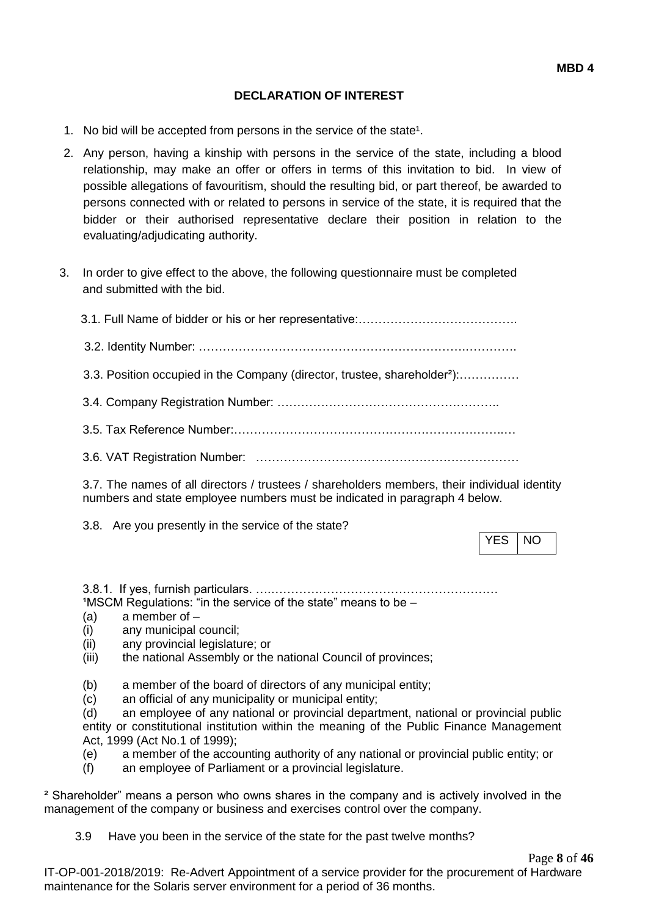### **DECLARATION OF INTEREST**

- 1. No bid will be accepted from persons in the service of the state<sup>1</sup>.
- 2. Any person, having a kinship with persons in the service of the state, including a blood relationship, may make an offer or offers in terms of this invitation to bid. In view of possible allegations of favouritism, should the resulting bid, or part thereof, be awarded to persons connected with or related to persons in service of the state, it is required that the bidder or their authorised representative declare their position in relation to the evaluating/adjudicating authority.
- 3. In order to give effect to the above, the following questionnaire must be completed and submitted with the bid.
	- 3.1. Full Name of bidder or his or her representative:…………………………………. 3.2. Identity Number: ………………………………………………………….…………. 3.3. Position occupied in the Company (director, trustee, shareholder²):…………… 3.4. Company Registration Number: ……………………………………………….. 3.5. Tax Reference Number:…………………………………………………………..…
	- 3.6. VAT Registration Number: …………………………………………………………

3.7. The names of all directors / trustees / shareholders members, their individual identity numbers and state employee numbers must be indicated in paragraph 4 below.

3.8. Are you presently in the service of the state?

YES INO

3.8.1. If yes, furnish particulars. ….…………………………………………………  $1$ MSCM Regulations: "in the service of the state" means to be  $-$ 

- (a) a member of –
- (i) any municipal council;
- (ii) any provincial legislature; or
- (iii) the national Assembly or the national Council of provinces;
- (b) a member of the board of directors of any municipal entity;
- (c) an official of any municipality or municipal entity;

(d) an employee of any national or provincial department, national or provincial public entity or constitutional institution within the meaning of the Public Finance Management Act, 1999 (Act No.1 of 1999);

- (e) a member of the accounting authority of any national or provincial public entity; or
- (f) an employee of Parliament or a provincial legislature.

² Shareholder" means a person who owns shares in the company and is actively involved in the management of the company or business and exercises control over the company.

3.9 Have you been in the service of the state for the past twelve months?

Page **8** of **46**

IT-OP-001-2018/2019: Re-Advert Appointment of a service provider for the procurement of Hardware maintenance for the Solaris server environment for a period of 36 months.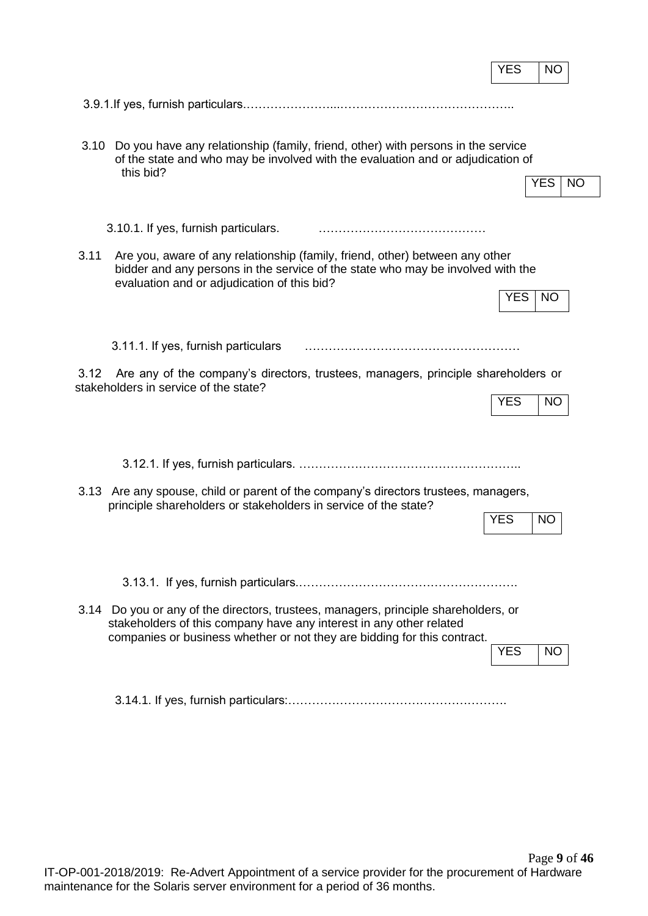|      |                                                                                                                                                                                                                                        | <b>YES</b><br><b>NO</b> |
|------|----------------------------------------------------------------------------------------------------------------------------------------------------------------------------------------------------------------------------------------|-------------------------|
|      |                                                                                                                                                                                                                                        |                         |
| 3.10 | Do you have any relationship (family, friend, other) with persons in the service<br>of the state and who may be involved with the evaluation and or adjudication of<br>this bid?                                                       | <b>YES</b><br>NO        |
|      | 3.10.1. If yes, furnish particulars.                                                                                                                                                                                                   |                         |
| 3.11 | Are you, aware of any relationship (family, friend, other) between any other<br>bidder and any persons in the service of the state who may be involved with the<br>evaluation and or adjudication of this bid?                         |                         |
|      |                                                                                                                                                                                                                                        | <b>YES</b><br><b>NO</b> |
|      | 3.11.1. If yes, furnish particulars                                                                                                                                                                                                    |                         |
| 3.12 | Are any of the company's directors, trustees, managers, principle shareholders or<br>stakeholders in service of the state?                                                                                                             | <b>YES</b><br><b>NO</b> |
|      |                                                                                                                                                                                                                                        |                         |
|      |                                                                                                                                                                                                                                        |                         |
|      | 3.13 Are any spouse, child or parent of the company's directors trustees, managers,<br>principle shareholders or stakeholders in service of the state?                                                                                 | <b>YES</b><br><b>NO</b> |
|      |                                                                                                                                                                                                                                        |                         |
|      | 3.14 Do you or any of the directors, trustees, managers, principle shareholders, or<br>stakeholders of this company have any interest in any other related<br>companies or business whether or not they are bidding for this contract. | <b>YES</b><br><b>NO</b> |
|      |                                                                                                                                                                                                                                        |                         |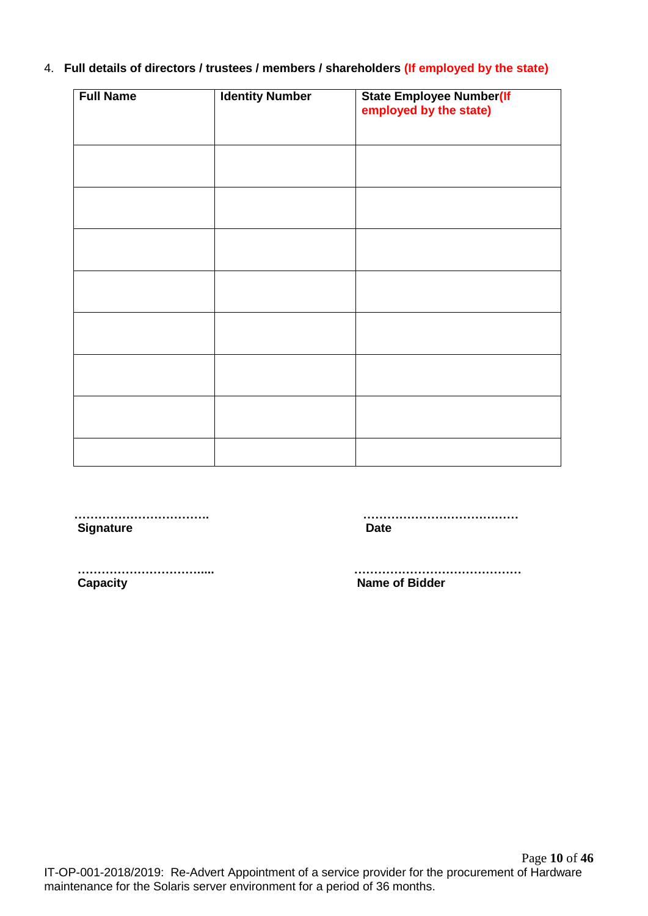### 4. **Full details of directors / trustees / members / shareholders (If employed by the state)**

| <b>Full Name</b> | <b>Identity Number</b> | <b>State Employee Number(If</b><br>employed by the state) |
|------------------|------------------------|-----------------------------------------------------------|
|                  |                        |                                                           |
|                  |                        |                                                           |
|                  |                        |                                                           |
|                  |                        |                                                           |
|                  |                        |                                                           |
|                  |                        |                                                           |
|                  |                        |                                                           |
|                  |                        |                                                           |

**Signature Date** 

 **……………………………. …………………………………**

 **…………………………..... …………………………………… Capacity Capacity Capacity Capacity Capacity Capacity Capacity Capacity Capacity Capacity Capacity Capacity Capacity Capacity Capacity Capacity Capacity Capacity Capacity Capacity C**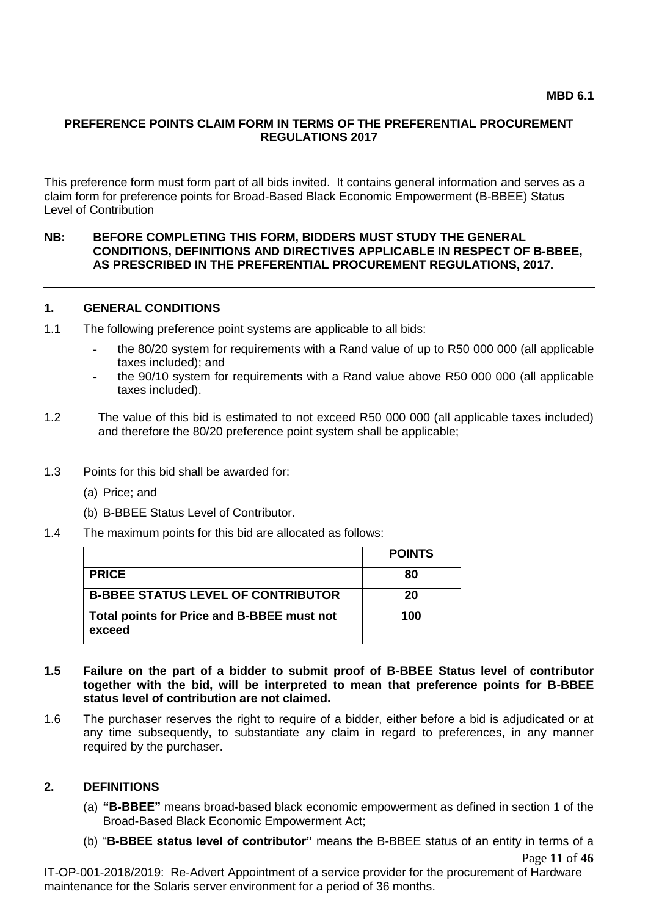#### **PREFERENCE POINTS CLAIM FORM IN TERMS OF THE PREFERENTIAL PROCUREMENT REGULATIONS 2017**

This preference form must form part of all bids invited. It contains general information and serves as a claim form for preference points for Broad-Based Black Economic Empowerment (B-BBEE) Status Level of Contribution

#### **NB: BEFORE COMPLETING THIS FORM, BIDDERS MUST STUDY THE GENERAL CONDITIONS, DEFINITIONS AND DIRECTIVES APPLICABLE IN RESPECT OF B-BBEE, AS PRESCRIBED IN THE PREFERENTIAL PROCUREMENT REGULATIONS, 2017.**

#### **1. GENERAL CONDITIONS**

- 1.1 The following preference point systems are applicable to all bids:
	- the 80/20 system for requirements with a Rand value of up to R50 000 000 (all applicable taxes included); and
	- the 90/10 system for requirements with a Rand value above R50 000 000 (all applicable taxes included).
- 1.2 The value of this bid is estimated to not exceed R50 000 000 (all applicable taxes included) and therefore the 80/20 preference point system shall be applicable;
- 1.3 Points for this bid shall be awarded for:
	- (a) Price; and
	- (b) B-BBEE Status Level of Contributor.
- 1.4 The maximum points for this bid are allocated as follows:

|                                                      | <b>POINTS</b> |
|------------------------------------------------------|---------------|
| <b>PRICE</b>                                         | 80            |
| <b>B-BBEE STATUS LEVEL OF CONTRIBUTOR</b>            | 20            |
| Total points for Price and B-BBEE must not<br>exceed | 100           |

- **1.5 Failure on the part of a bidder to submit proof of B-BBEE Status level of contributor together with the bid, will be interpreted to mean that preference points for B-BBEE status level of contribution are not claimed.**
- 1.6 The purchaser reserves the right to require of a bidder, either before a bid is adjudicated or at any time subsequently, to substantiate any claim in regard to preferences, in any manner required by the purchaser.

#### **2. DEFINITIONS**

- (a) **"B-BBEE"** means broad-based black economic empowerment as defined in section 1 of the Broad-Based Black Economic Empowerment Act;
- Page **11** of **46** (b) "**B-BBEE status level of contributor"** means the B-BBEE status of an entity in terms of a

IT-OP-001-2018/2019: Re-Advert Appointment of a service provider for the procurement of Hardware maintenance for the Solaris server environment for a period of 36 months.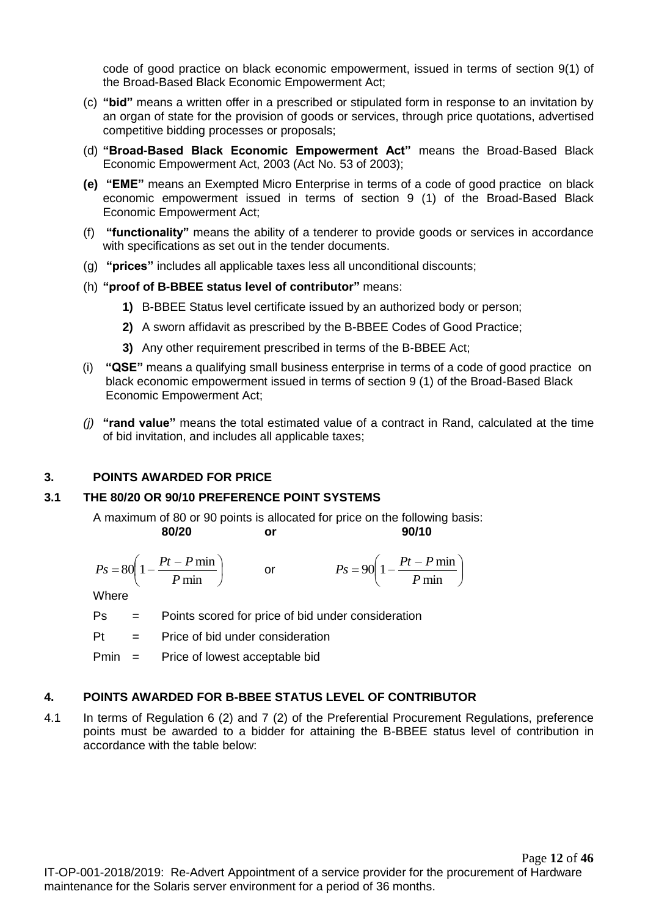code of good practice on black economic empowerment, issued in terms of section 9(1) of the Broad-Based Black Economic Empowerment Act;

- (c) **"bid"** means a written offer in a prescribed or stipulated form in response to an invitation by an organ of state for the provision of goods or services, through price quotations, advertised competitive bidding processes or proposals;
- (d) **"Broad-Based Black Economic Empowerment Act"** means the Broad-Based Black Economic Empowerment Act, 2003 (Act No. 53 of 2003);
- **(e) "EME"** means an Exempted Micro Enterprise in terms of a code of good practice on black economic empowerment issued in terms of section 9 (1) of the Broad-Based Black Economic Empowerment Act;
- (f) **"functionality"** means the ability of a tenderer to provide goods or services in accordance with specifications as set out in the tender documents.
- (g) **"prices"** includes all applicable taxes less all unconditional discounts;
- (h) **"proof of B-BBEE status level of contributor"** means:
	- **1)** B-BBEE Status level certificate issued by an authorized body or person;
	- **2)** A sworn affidavit as prescribed by the B-BBEE Codes of Good Practice;
	- **3)** Any other requirement prescribed in terms of the B-BBEE Act;
- (i) **"QSE"** means a qualifying small business enterprise in terms of a code of good practice on black economic empowerment issued in terms of section 9 (1) of the Broad-Based Black Economic Empowerment Act;
- *(j)* **"rand value"** means the total estimated value of a contract in Rand, calculated at the time of bid invitation, and includes all applicable taxes;

### **3. POINTS AWARDED FOR PRICE**

### **3.1 THE 80/20 OR 90/10 PREFERENCE POINT SYSTEMS**

A maximum of 80 or 90 points is allocated for price on the following basis: **80/20 or 90/10**

$$
Ps = 80 \left( 1 - \frac{Pt - P \min}{P \min} \right) \qquad \text{or} \qquad \qquad Ps = 90 \left( 1 - \frac{Pt - P \min}{P \min} \right)
$$

**Where** 

- Ps = Points scored for price of bid under consideration
- $Pt =$  Price of bid under consideration

Pmin = Price of lowest acceptable bid

### **4. POINTS AWARDED FOR B-BBEE STATUS LEVEL OF CONTRIBUTOR**

4.1 In terms of Regulation 6 (2) and 7 (2) of the Preferential Procurement Regulations, preference points must be awarded to a bidder for attaining the B-BBEE status level of contribution in accordance with the table below: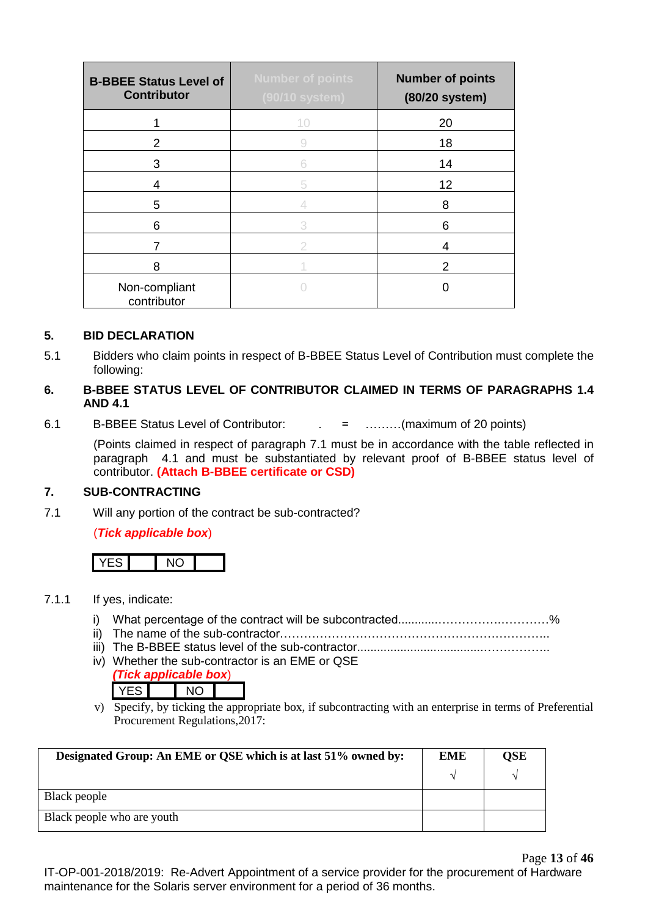| <b>B-BBEE Status Level of</b><br><b>Contributor</b> | <b>Number of points</b><br>(90/10 system) | <b>Number of points</b><br>(80/20 system) |
|-----------------------------------------------------|-------------------------------------------|-------------------------------------------|
|                                                     | 10                                        | 20                                        |
| 2                                                   | 9                                         | 18                                        |
| 3                                                   | 6                                         | 14                                        |
| 4                                                   | 5                                         | 12                                        |
| 5                                                   |                                           | 8                                         |
| 6                                                   | 3                                         | 6                                         |
| 7                                                   | 2                                         | 4                                         |
| 8                                                   |                                           | 2                                         |
| Non-compliant<br>contributor                        |                                           |                                           |

### **5. BID DECLARATION**

5.1 Bidders who claim points in respect of B-BBEE Status Level of Contribution must complete the following:

### **6. B-BBEE STATUS LEVEL OF CONTRIBUTOR CLAIMED IN TERMS OF PARAGRAPHS 1.4 AND 4.1**

6.1 B-BBEE Status Level of Contributor: . = ………(maximum of 20 points)

(Points claimed in respect of paragraph 7.1 must be in accordance with the table reflected in paragraph 4.1 and must be substantiated by relevant proof of B-BBEE status level of contributor. **(Attach B-BBEE certificate or CSD)**

### **7. SUB-CONTRACTING**

7.1 Will any portion of the contract be sub-contracted?

### (*Tick applicable box*)



- 7.1.1 If yes, indicate:
	- i) What percentage of the contract will be subcontracted............…………….…………%
	- ii) The name of the sub-contractor…………………………………………………………..
	- iii) The B-BBEE status level of the sub-contractor......................................……………..
	- iv) Whether the sub-contractor is an EME or QSE
		- *(Tick applicable box*) YES NO
	- v) Specify, by ticking the appropriate box, if subcontracting with an enterprise in terms of Preferential Procurement Regulations,2017:

| Designated Group: An EME or QSE which is at last 51% owned by: |  | QSE |
|----------------------------------------------------------------|--|-----|
|                                                                |  |     |
| Black people                                                   |  |     |
| Black people who are youth                                     |  |     |

Page **13** of **46** IT-OP-001-2018/2019: Re-Advert Appointment of a service provider for the procurement of Hardware maintenance for the Solaris server environment for a period of 36 months.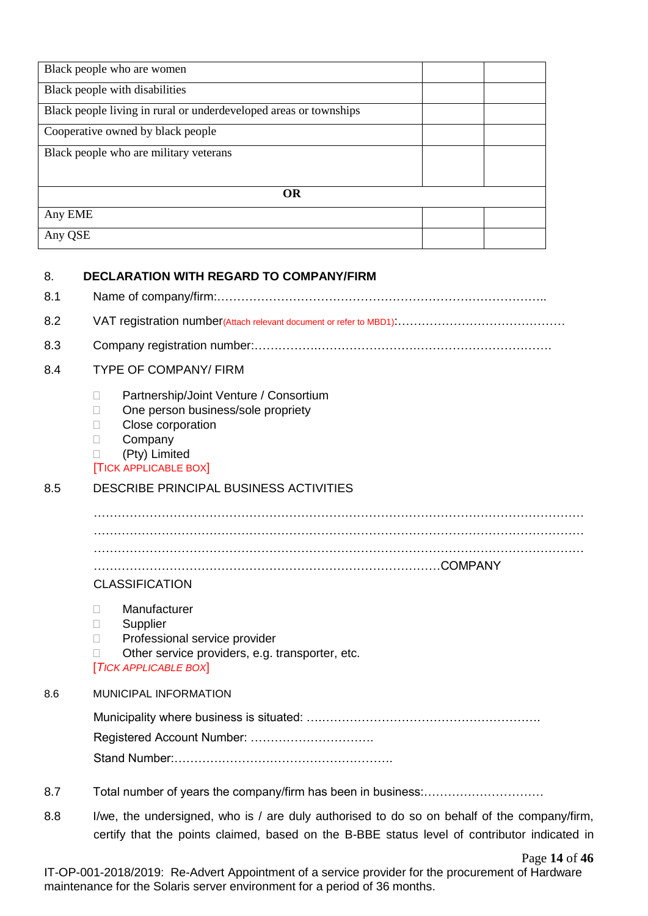| Black people who are women                                        |  |
|-------------------------------------------------------------------|--|
| Black people with disabilities                                    |  |
| Black people living in rural or underdeveloped areas or townships |  |
| Cooperative owned by black people                                 |  |
| Black people who are military veterans                            |  |
|                                                                   |  |
| <b>OR</b>                                                         |  |
| Any EME                                                           |  |
| Any QSE                                                           |  |

#### 8. **DECLARATION WITH REGARD TO COMPANY/FIRM**

| <b>TYPE OF COMPANY/ FIRM</b>                                                                                                                                                               |  |  |
|--------------------------------------------------------------------------------------------------------------------------------------------------------------------------------------------|--|--|
| Partnership/Joint Venture / Consortium<br>П<br>One person business/sole propriety<br>П<br>Close corporation<br>П<br>Company<br>$\mathbf{L}$<br>(Pty) Limited<br><b>TICK APPLICABLE BOX</b> |  |  |
| <b>DESCRIBE PRINCIPAL BUSINESS ACTIVITIES</b>                                                                                                                                              |  |  |
| <b>CLASSIFICATION</b>                                                                                                                                                                      |  |  |
| Manufacturer<br>$\Box$<br>Supplier<br>$\mathbb{R}$<br>Professional service provider<br>П<br>Other service providers, e.g. transporter, etc.<br>[TICK APPLICABLE BOX]                       |  |  |
| <b>MUNICIPAL INFORMATION</b>                                                                                                                                                               |  |  |
|                                                                                                                                                                                            |  |  |
|                                                                                                                                                                                            |  |  |

- 8.7 Total number of years the company/firm has been in business:…………………………
- 8.8 I/we, the undersigned, who is / are duly authorised to do so on behalf of the company/firm, certify that the points claimed, based on the B-BBE status level of contributor indicated in

Page **14** of **46**

IT-OP-001-2018/2019: Re-Advert Appointment of a service provider for the procurement of Hardware maintenance for the Solaris server environment for a period of 36 months.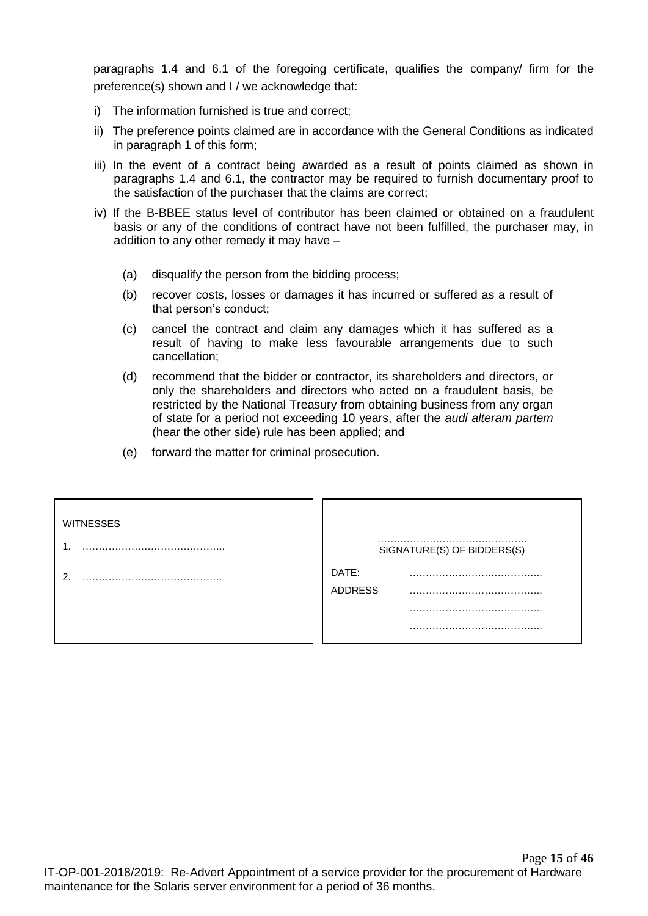paragraphs 1.4 and 6.1 of the foregoing certificate, qualifies the company/ firm for the preference(s) shown and I / we acknowledge that:

- i) The information furnished is true and correct;
- ii) The preference points claimed are in accordance with the General Conditions as indicated in paragraph 1 of this form;
- iii) In the event of a contract being awarded as a result of points claimed as shown in paragraphs 1.4 and 6.1, the contractor may be required to furnish documentary proof to the satisfaction of the purchaser that the claims are correct;
- iv) If the B-BBEE status level of contributor has been claimed or obtained on a fraudulent basis or any of the conditions of contract have not been fulfilled, the purchaser may, in addition to any other remedy it may have –
	- (a) disqualify the person from the bidding process;
	- (b) recover costs, losses or damages it has incurred or suffered as a result of that person's conduct;
	- (c) cancel the contract and claim any damages which it has suffered as a result of having to make less favourable arrangements due to such cancellation;
	- (d) recommend that the bidder or contractor, its shareholders and directors, or only the shareholders and directors who acted on a fraudulent basis, be restricted by the National Treasury from obtaining business from any organ of state for a period not exceeding 10 years, after the *audi alteram partem* (hear the other side) rule has been applied; and
	- (e) forward the matter for criminal prosecution.

| <b>WITNESSES</b> |                            |
|------------------|----------------------------|
|                  | SIGNATURE(S) OF BIDDERS(S) |
|                  | DATE:                      |
|                  | <b>ADDRESS</b>             |
|                  |                            |
|                  |                            |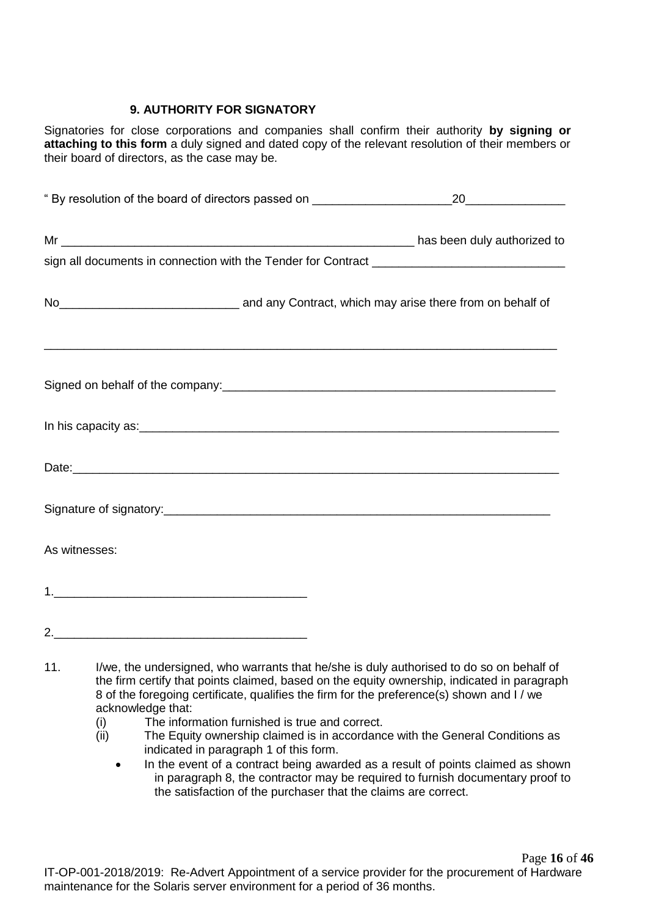### **9. AUTHORITY FOR SIGNATORY**

Signatories for close corporations and companies shall confirm their authority **by signing or attaching to this form** a duly signed and dated copy of the relevant resolution of their members or their board of directors, as the case may be.

| No <sub>__________________________________</sub> and any Contract, which may arise there from on behalf of |  |  |
|------------------------------------------------------------------------------------------------------------|--|--|
| Signed on behalf of the company:<br>Signed on behalf of the company:                                       |  |  |
|                                                                                                            |  |  |
|                                                                                                            |  |  |
|                                                                                                            |  |  |
| As witnesses:                                                                                              |  |  |
|                                                                                                            |  |  |
| 2.                                                                                                         |  |  |

- 11. I/we, the undersigned, who warrants that he/she is duly authorised to do so on behalf of the firm certify that points claimed, based on the equity ownership, indicated in paragraph 8 of the foregoing certificate, qualifies the firm for the preference(s) shown and I / we acknowledge that:
	- (i) The information furnished is true and correct.
	- (ii) The Equity ownership claimed is in accordance with the General Conditions as indicated in paragraph 1 of this form.
		- In the event of a contract being awarded as a result of points claimed as shown in paragraph 8, the contractor may be required to furnish documentary proof to the satisfaction of the purchaser that the claims are correct.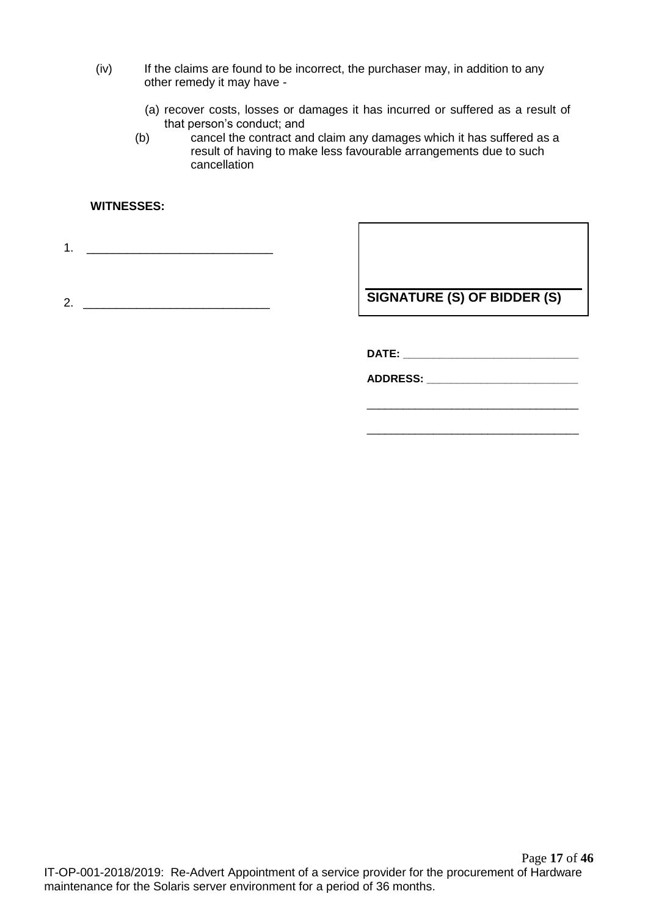- (iv) If the claims are found to be incorrect, the purchaser may, in addition to any other remedy it may have -
	- (a) recover costs, losses or damages it has incurred or suffered as a result of that person's conduct; and
	- (b) cancel the contract and claim any damages which it has suffered as a result of having to make less favourable arrangements due to such cancellation

### **WITNESSES:**

1. \_\_\_\_\_\_\_\_\_\_\_\_\_\_\_\_\_\_\_\_\_\_\_\_\_\_\_\_

2. \_\_\_\_\_\_\_\_\_\_\_\_\_\_\_\_\_\_\_\_\_\_\_\_\_\_\_\_

**SIGNATURE (S) OF BIDDER (S)**

**DATE: \_\_\_\_\_\_\_\_\_\_\_\_\_\_\_\_\_\_\_\_\_\_\_\_\_\_\_\_\_**

**ADDRESS: \_\_\_\_\_\_\_\_\_\_\_\_\_\_\_\_\_\_\_\_\_\_\_\_\_**

\_\_\_\_\_\_\_\_\_\_\_\_\_\_\_\_\_\_\_\_\_\_\_\_\_\_\_\_\_\_\_\_\_\_\_

\_\_\_\_\_\_\_\_\_\_\_\_\_\_\_\_\_\_\_\_\_\_\_\_\_\_\_\_\_\_\_\_\_\_\_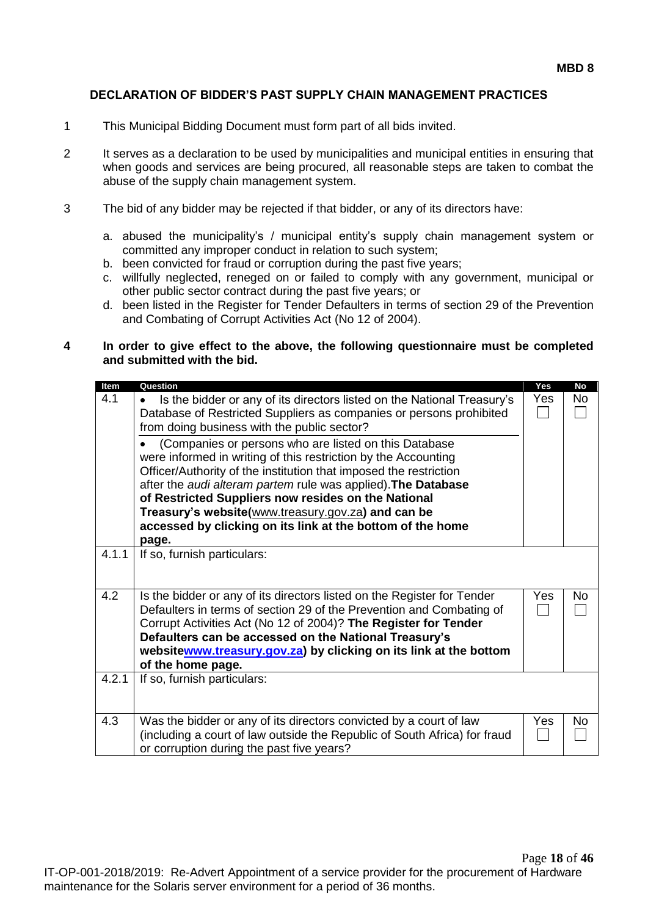### **DECLARATION OF BIDDER'S PAST SUPPLY CHAIN MANAGEMENT PRACTICES**

- 1 This Municipal Bidding Document must form part of all bids invited.
- 2 It serves as a declaration to be used by municipalities and municipal entities in ensuring that when goods and services are being procured, all reasonable steps are taken to combat the abuse of the supply chain management system.
- 3 The bid of any bidder may be rejected if that bidder, or any of its directors have:
	- a. abused the municipality's / municipal entity's supply chain management system or committed any improper conduct in relation to such system;
	- b. been convicted for fraud or corruption during the past five years;
	- c. willfully neglected, reneged on or failed to comply with any government, municipal or other public sector contract during the past five years; or
	- d. been listed in the Register for Tender Defaulters in terms of section 29 of the Prevention and Combating of Corrupt Activities Act (No 12 of 2004).

#### **4 In order to give effect to the above, the following questionnaire must be completed and submitted with the bid.**

| Item  | Question                                                                                                                            | Yes | <b>No</b> |
|-------|-------------------------------------------------------------------------------------------------------------------------------------|-----|-----------|
| 4.1   | Is the bidder or any of its directors listed on the National Treasury's<br>$\bullet$                                                | Yes | No.       |
|       | Database of Restricted Suppliers as companies or persons prohibited<br>from doing business with the public sector?                  |     |           |
|       | (Companies or persons who are listed on this Database                                                                               |     |           |
|       | were informed in writing of this restriction by the Accounting<br>Officer/Authority of the institution that imposed the restriction |     |           |
|       | after the audi alteram partem rule was applied). The Database                                                                       |     |           |
|       | of Restricted Suppliers now resides on the National<br>Treasury's website(www.treasury.gov.za) and can be                           |     |           |
|       | accessed by clicking on its link at the bottom of the home                                                                          |     |           |
|       | page.                                                                                                                               |     |           |
| 4.1.1 | If so, furnish particulars:                                                                                                         |     |           |
|       |                                                                                                                                     |     |           |
| 4.2   | Is the bidder or any of its directors listed on the Register for Tender                                                             | Yes | No.       |
|       | Defaulters in terms of section 29 of the Prevention and Combating of                                                                |     |           |
|       | Corrupt Activities Act (No 12 of 2004)? The Register for Tender<br>Defaulters can be accessed on the National Treasury's            |     |           |
|       | websitewww.treasury.gov.za) by clicking on its link at the bottom                                                                   |     |           |
|       | of the home page.                                                                                                                   |     |           |
| 4.2.1 | If so, furnish particulars:                                                                                                         |     |           |
|       |                                                                                                                                     |     |           |
| 4.3   | Was the bidder or any of its directors convicted by a court of law                                                                  | Yes | No        |
|       | (including a court of law outside the Republic of South Africa) for fraud<br>or corruption during the past five years?              |     |           |
|       |                                                                                                                                     |     |           |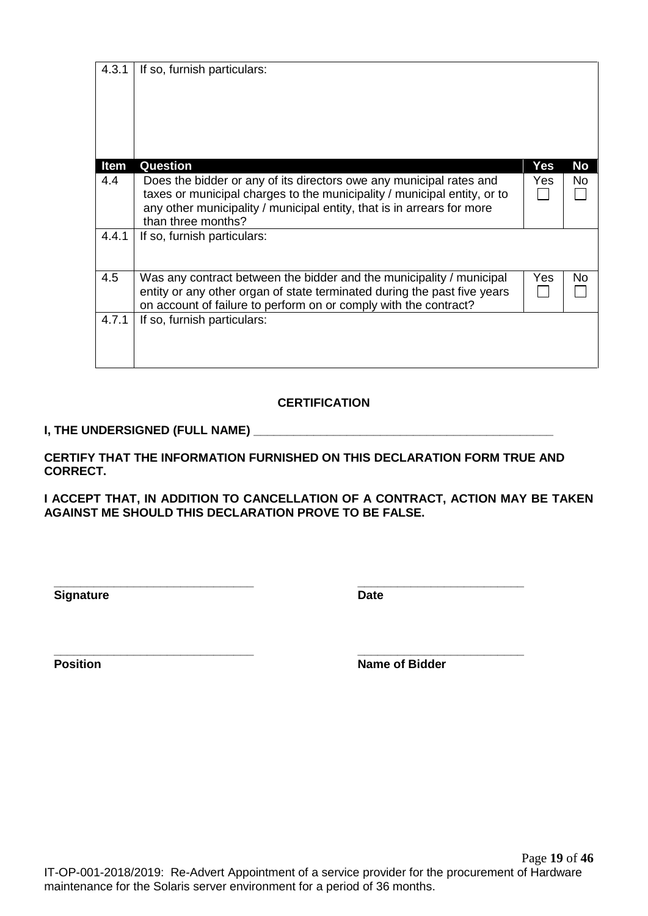|                 | Item  | Question                                                                                                                                                                                                                                        | <b>Yes</b> | <b>No</b> |
|-----------------|-------|-------------------------------------------------------------------------------------------------------------------------------------------------------------------------------------------------------------------------------------------------|------------|-----------|
|                 | 4.4   | Does the bidder or any of its directors owe any municipal rates and<br>taxes or municipal charges to the municipality / municipal entity, or to<br>any other municipality / municipal entity, that is in arrears for more<br>than three months? | <b>Yes</b> | No        |
|                 | 4.4.1 | If so, furnish particulars:                                                                                                                                                                                                                     |            |           |
|                 | 4.5   | Was any contract between the bidder and the municipality / municipal<br>entity or any other organ of state terminated during the past five years<br>on account of failure to perform on or comply with the contract?                            | Yes        | No.       |
|                 | 4.7.1 | If so, furnish particulars:                                                                                                                                                                                                                     |            |           |
|                 |       | <b>CERTIFICATION</b>                                                                                                                                                                                                                            |            |           |
|                 |       |                                                                                                                                                                                                                                                 |            |           |
| <b>CORRECT.</b> |       | CERTIFY THAT THE INFORMATION FURNISHED ON THIS DECLARATION FORM TRUE AND                                                                                                                                                                        |            |           |
|                 |       | I ACCEPT THAT, IN ADDITION TO CANCELLATION OF A CONTRACT, ACTION MAY BE TAKEN<br><b>AGAINST ME SHOULD THIS DECLARATION PROVE TO BE FALSE.</b>                                                                                                   |            |           |
|                 |       |                                                                                                                                                                                                                                                 |            |           |
|                 |       |                                                                                                                                                                                                                                                 |            |           |

**Signature Date** 

4.3.1 If so, furnish particulars:

**\_\_\_\_\_\_\_\_\_\_\_\_\_\_\_\_\_\_\_\_\_\_\_\_\_\_\_\_\_\_ \_\_\_\_\_\_\_\_\_\_\_\_\_\_\_\_\_\_\_\_\_\_\_\_\_ Position Name of Bidder**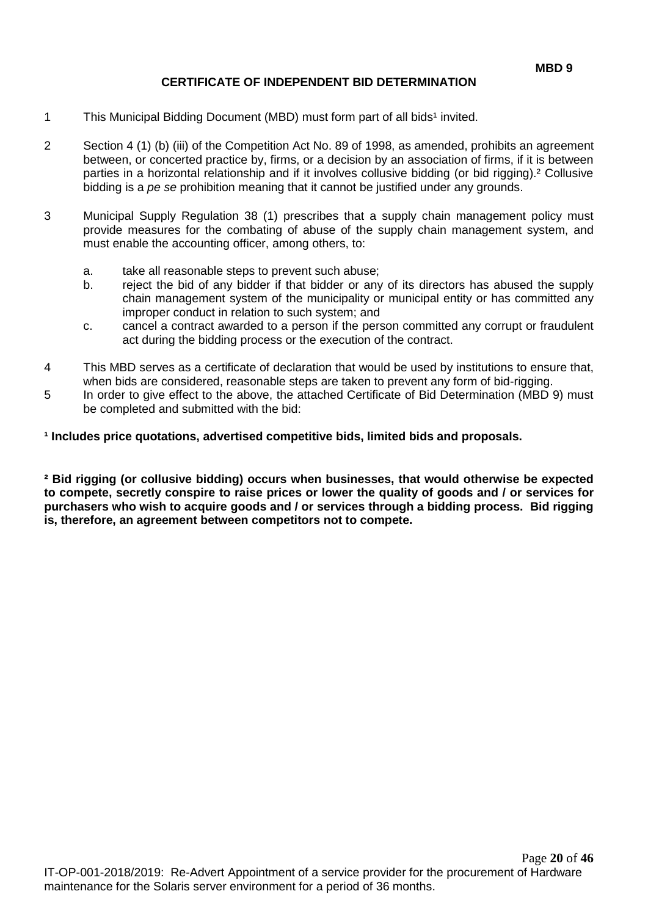### **CERTIFICATE OF INDEPENDENT BID DETERMINATION**

- 1 This Municipal Bidding Document (MBD) must form part of all bids<sup>1</sup> invited.
- 2 Section 4 (1) (b) (iii) of the Competition Act No. 89 of 1998, as amended, prohibits an agreement between, or concerted practice by, firms, or a decision by an association of firms, if it is between parties in a horizontal relationship and if it involves collusive bidding (or bid rigging).² Collusive bidding is a *pe se* prohibition meaning that it cannot be justified under any grounds.
- 3 Municipal Supply Regulation 38 (1) prescribes that a supply chain management policy must provide measures for the combating of abuse of the supply chain management system, and must enable the accounting officer, among others, to:
	- a. take all reasonable steps to prevent such abuse;
	- b. reject the bid of any bidder if that bidder or any of its directors has abused the supply chain management system of the municipality or municipal entity or has committed any improper conduct in relation to such system; and
	- c. cancel a contract awarded to a person if the person committed any corrupt or fraudulent act during the bidding process or the execution of the contract.
- 4 This MBD serves as a certificate of declaration that would be used by institutions to ensure that, when bids are considered, reasonable steps are taken to prevent any form of bid-rigging.
- 5 In order to give effect to the above, the attached Certificate of Bid Determination (MBD 9) must be completed and submitted with the bid:

**¹ Includes price quotations, advertised competitive bids, limited bids and proposals.**

**² Bid rigging (or collusive bidding) occurs when businesses, that would otherwise be expected to compete, secretly conspire to raise prices or lower the quality of goods and / or services for purchasers who wish to acquire goods and / or services through a bidding process. Bid rigging is, therefore, an agreement between competitors not to compete.**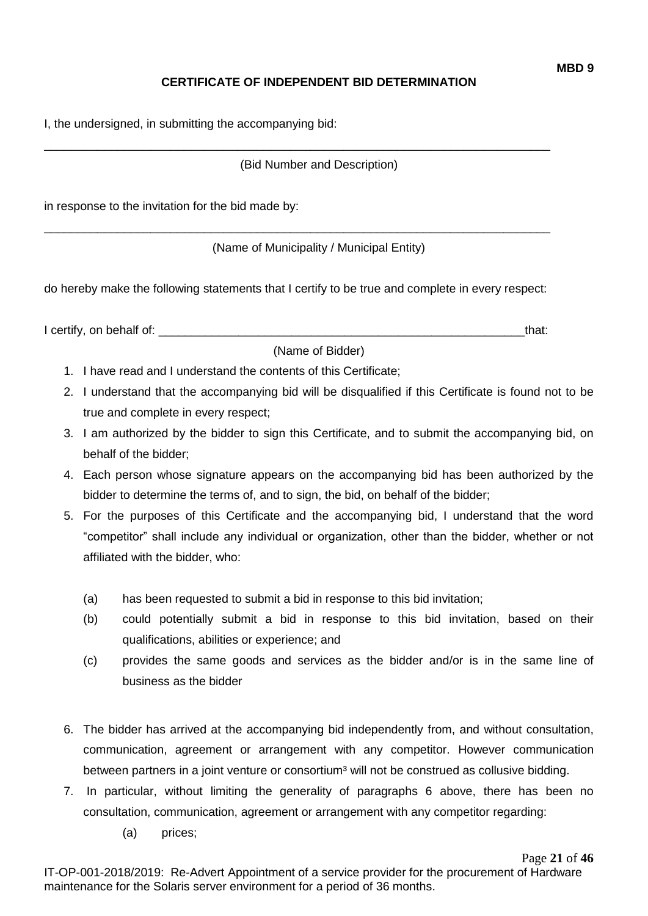## **CERTIFICATE OF INDEPENDENT BID DETERMINATION**

I, the undersigned, in submitting the accompanying bid:

(Bid Number and Description)

\_\_\_\_\_\_\_\_\_\_\_\_\_\_\_\_\_\_\_\_\_\_\_\_\_\_\_\_\_\_\_\_\_\_\_\_\_\_\_\_\_\_\_\_\_\_\_\_\_\_\_\_\_\_\_\_\_\_\_\_\_\_\_\_\_\_\_\_\_\_\_\_\_\_\_\_

in response to the invitation for the bid made by:

(Name of Municipality / Municipal Entity)

do hereby make the following statements that I certify to be true and complete in every respect:

\_\_\_\_\_\_\_\_\_\_\_\_\_\_\_\_\_\_\_\_\_\_\_\_\_\_\_\_\_\_\_\_\_\_\_\_\_\_\_\_\_\_\_\_\_\_\_\_\_\_\_\_\_\_\_\_\_\_\_\_\_\_\_\_\_\_\_\_\_\_\_\_\_\_\_\_

I certify, on behalf of: the state of the state of the state of the state of the state of the state of the state of the state of the state of the state of the state of the state of the state of the state of the state of th

(Name of Bidder)

- 1. I have read and I understand the contents of this Certificate;
- 2. I understand that the accompanying bid will be disqualified if this Certificate is found not to be true and complete in every respect;
- 3. I am authorized by the bidder to sign this Certificate, and to submit the accompanying bid, on behalf of the bidder;
- 4. Each person whose signature appears on the accompanying bid has been authorized by the bidder to determine the terms of, and to sign, the bid, on behalf of the bidder;
- 5. For the purposes of this Certificate and the accompanying bid, I understand that the word "competitor" shall include any individual or organization, other than the bidder, whether or not affiliated with the bidder, who:
	- (a) has been requested to submit a bid in response to this bid invitation;
	- (b) could potentially submit a bid in response to this bid invitation, based on their qualifications, abilities or experience; and
	- (c) provides the same goods and services as the bidder and/or is in the same line of business as the bidder
- 6. The bidder has arrived at the accompanying bid independently from, and without consultation, communication, agreement or arrangement with any competitor. However communication between partners in a joint venture or consortium<sup>3</sup> will not be construed as collusive bidding.
- 7. In particular, without limiting the generality of paragraphs 6 above, there has been no consultation, communication, agreement or arrangement with any competitor regarding:
	- (a) prices;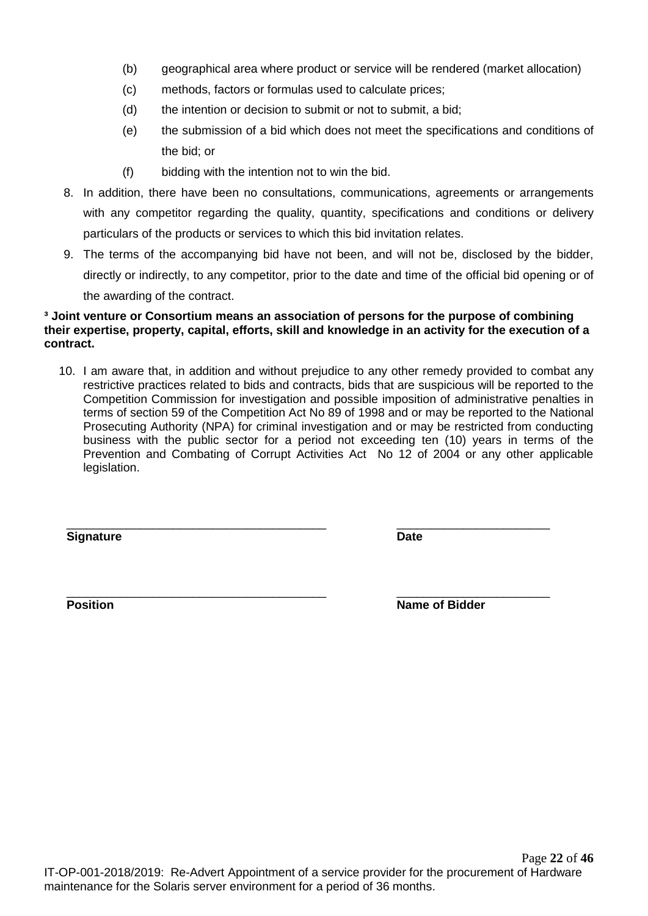- (b) geographical area where product or service will be rendered (market allocation)
- (c) methods, factors or formulas used to calculate prices;
- (d) the intention or decision to submit or not to submit, a bid;
- (e) the submission of a bid which does not meet the specifications and conditions of the bid; or
- (f) bidding with the intention not to win the bid.
- 8. In addition, there have been no consultations, communications, agreements or arrangements with any competitor regarding the quality, quantity, specifications and conditions or delivery particulars of the products or services to which this bid invitation relates.
- 9. The terms of the accompanying bid have not been, and will not be, disclosed by the bidder, directly or indirectly, to any competitor, prior to the date and time of the official bid opening or of the awarding of the contract.

#### **³ Joint venture or Consortium means an association of persons for the purpose of combining their expertise, property, capital, efforts, skill and knowledge in an activity for the execution of a contract.**

10. I am aware that, in addition and without prejudice to any other remedy provided to combat any restrictive practices related to bids and contracts, bids that are suspicious will be reported to the Competition Commission for investigation and possible imposition of administrative penalties in terms of section 59 of the Competition Act No 89 of 1998 and or may be reported to the National Prosecuting Authority (NPA) for criminal investigation and or may be restricted from conducting business with the public sector for a period not exceeding ten (10) years in terms of the Prevention and Combating of Corrupt Activities Act No 12 of 2004 or any other applicable legislation.

\_\_\_\_\_\_\_\_\_\_\_\_\_\_\_\_\_\_\_\_\_\_\_\_\_\_\_\_\_\_\_\_\_\_\_\_\_\_\_ \_\_\_\_\_\_\_\_\_\_\_\_\_\_\_\_\_\_\_\_\_\_\_

**Signature Date**

\_\_\_\_\_\_\_\_\_\_\_\_\_\_\_\_\_\_\_\_\_\_\_\_\_\_\_\_\_\_\_\_\_\_\_\_\_\_\_ \_\_\_\_\_\_\_\_\_\_\_\_\_\_\_\_\_\_\_\_\_\_\_ **Position Name of Bidder**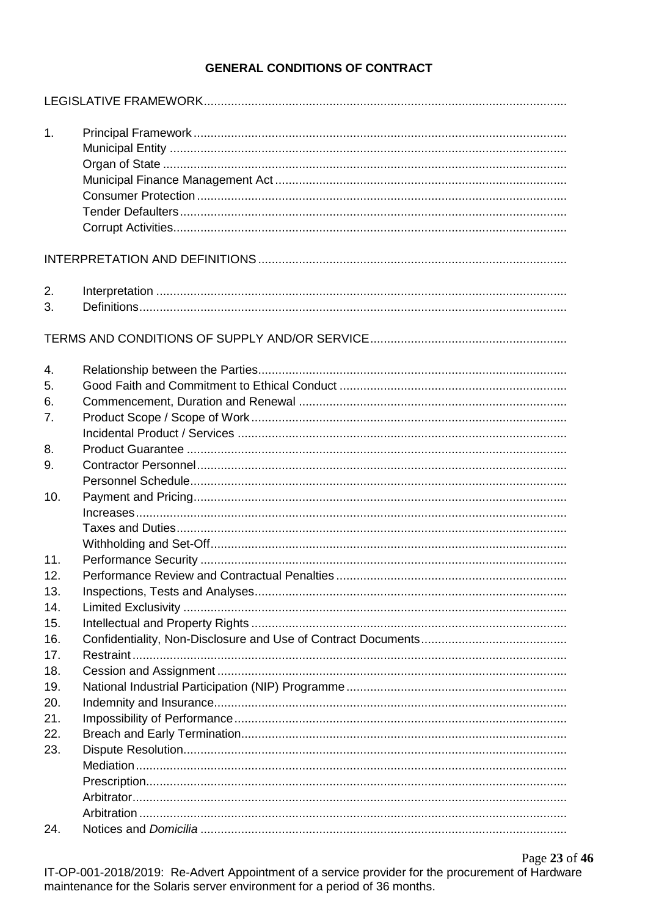### **GENERAL CONDITIONS OF CONTRACT**

| 1.  |  |
|-----|--|
|     |  |
|     |  |
|     |  |
|     |  |
|     |  |
|     |  |
| 2.  |  |
| 3.  |  |
|     |  |
| 4.  |  |
| 5.  |  |
| 6.  |  |
| 7.  |  |
|     |  |
| 8.  |  |
| 9.  |  |
|     |  |
| 10. |  |
|     |  |
|     |  |
|     |  |
| 11. |  |
| 12. |  |
| 13. |  |
| 14. |  |
| 15. |  |
| 16. |  |
| 17. |  |
| 18. |  |
| 19. |  |
| 20. |  |
| 21. |  |
| 22. |  |
| 23. |  |
|     |  |
|     |  |
|     |  |
|     |  |
| 24. |  |
|     |  |

Page 23 of 46 IT-OP-001-2018/2019: Re-Advert Appointment of a service provider for the procurement of Hardware maintenance for the Solaris server environment for a period of 36 months.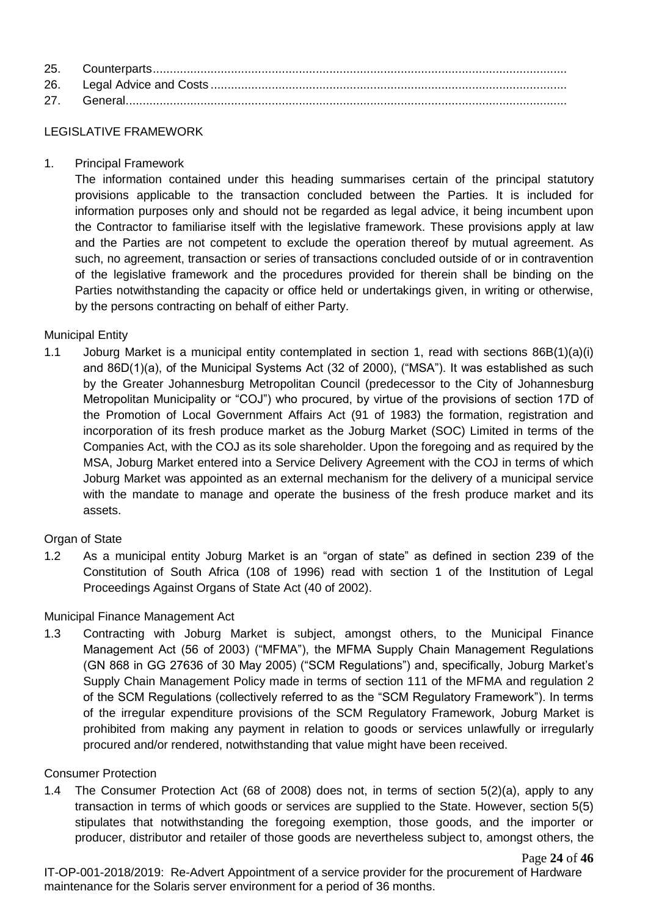### LEGISLATIVE FRAMEWORK

1. Principal Framework

The information contained under this heading summarises certain of the principal statutory provisions applicable to the transaction concluded between the Parties. It is included for information purposes only and should not be regarded as legal advice, it being incumbent upon the Contractor to familiarise itself with the legislative framework. These provisions apply at law and the Parties are not competent to exclude the operation thereof by mutual agreement. As such, no agreement, transaction or series of transactions concluded outside of or in contravention of the legislative framework and the procedures provided for therein shall be binding on the Parties notwithstanding the capacity or office held or undertakings given, in writing or otherwise, by the persons contracting on behalf of either Party.

### Municipal Entity

1.1 Joburg Market is a municipal entity contemplated in section 1, read with sections 86B(1)(a)(i) and 86D(1)(a), of the Municipal Systems Act (32 of 2000), ("MSA"). It was established as such by the Greater Johannesburg Metropolitan Council (predecessor to the City of Johannesburg Metropolitan Municipality or "COJ") who procured, by virtue of the provisions of section 17D of the Promotion of Local Government Affairs Act (91 of 1983) the formation, registration and incorporation of its fresh produce market as the Joburg Market (SOC) Limited in terms of the Companies Act, with the COJ as its sole shareholder. Upon the foregoing and as required by the MSA, Joburg Market entered into a Service Delivery Agreement with the COJ in terms of which Joburg Market was appointed as an external mechanism for the delivery of a municipal service with the mandate to manage and operate the business of the fresh produce market and its assets.

### Organ of State

1.2 As a municipal entity Joburg Market is an "organ of state" as defined in section 239 of the Constitution of South Africa (108 of 1996) read with section 1 of the Institution of Legal Proceedings Against Organs of State Act (40 of 2002).

### Municipal Finance Management Act

1.3 Contracting with Joburg Market is subject, amongst others, to the Municipal Finance Management Act (56 of 2003) ("MFMA"), the MFMA Supply Chain Management Regulations (GN 868 in GG 27636 of 30 May 2005) ("SCM Regulations") and, specifically, Joburg Market's Supply Chain Management Policy made in terms of section 111 of the MFMA and regulation 2 of the SCM Regulations (collectively referred to as the "SCM Regulatory Framework"). In terms of the irregular expenditure provisions of the SCM Regulatory Framework, Joburg Market is prohibited from making any payment in relation to goods or services unlawfully or irregularly procured and/or rendered, notwithstanding that value might have been received.

### Consumer Protection

1.4 The Consumer Protection Act (68 of 2008) does not, in terms of section 5(2)(a), apply to any transaction in terms of which goods or services are supplied to the State. However, section 5(5) stipulates that notwithstanding the foregoing exemption, those goods, and the importer or producer, distributor and retailer of those goods are nevertheless subject to, amongst others, the

IT-OP-001-2018/2019: Re-Advert Appointment of a service provider for the procurement of Hardware maintenance for the Solaris server environment for a period of 36 months.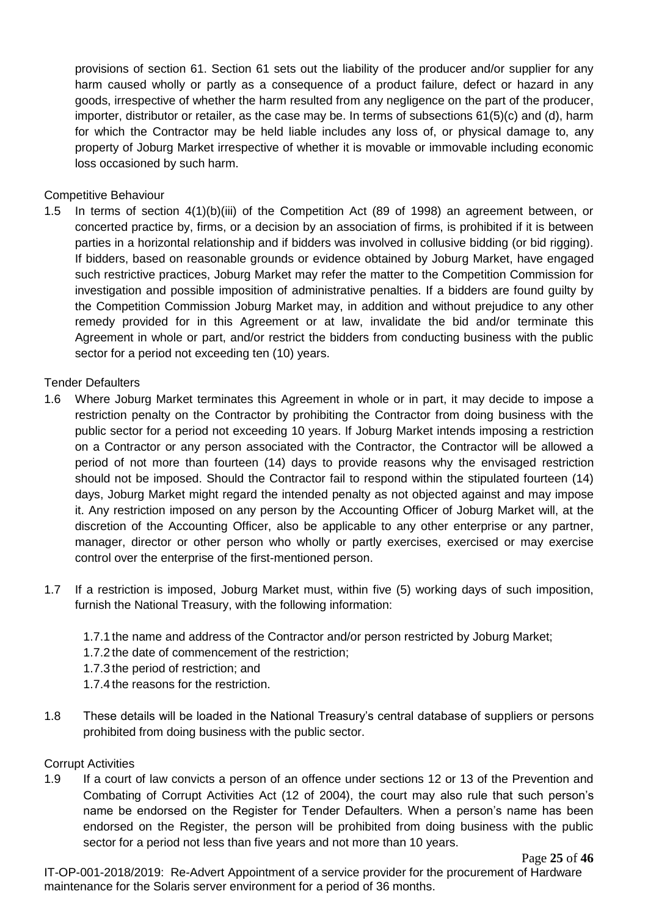provisions of section 61. Section 61 sets out the liability of the producer and/or supplier for any harm caused wholly or partly as a consequence of a product failure, defect or hazard in any goods, irrespective of whether the harm resulted from any negligence on the part of the producer, importer, distributor or retailer, as the case may be. In terms of subsections 61(5)(c) and (d), harm for which the Contractor may be held liable includes any loss of, or physical damage to, any property of Joburg Market irrespective of whether it is movable or immovable including economic loss occasioned by such harm.

### Competitive Behaviour

1.5 In terms of section 4(1)(b)(iii) of the Competition Act (89 of 1998) an agreement between, or concerted practice by, firms, or a decision by an association of firms, is prohibited if it is between parties in a horizontal relationship and if bidders was involved in collusive bidding (or bid rigging). If bidders, based on reasonable grounds or evidence obtained by Joburg Market, have engaged such restrictive practices, Joburg Market may refer the matter to the Competition Commission for investigation and possible imposition of administrative penalties. If a bidders are found guilty by the Competition Commission Joburg Market may, in addition and without prejudice to any other remedy provided for in this Agreement or at law, invalidate the bid and/or terminate this Agreement in whole or part, and/or restrict the bidders from conducting business with the public sector for a period not exceeding ten (10) years.

### Tender Defaulters

- 1.6 Where Joburg Market terminates this Agreement in whole or in part, it may decide to impose a restriction penalty on the Contractor by prohibiting the Contractor from doing business with the public sector for a period not exceeding 10 years. If Joburg Market intends imposing a restriction on a Contractor or any person associated with the Contractor, the Contractor will be allowed a period of not more than fourteen (14) days to provide reasons why the envisaged restriction should not be imposed. Should the Contractor fail to respond within the stipulated fourteen (14) days, Joburg Market might regard the intended penalty as not objected against and may impose it. Any restriction imposed on any person by the Accounting Officer of Joburg Market will, at the discretion of the Accounting Officer, also be applicable to any other enterprise or any partner, manager, director or other person who wholly or partly exercises, exercised or may exercise control over the enterprise of the first-mentioned person.
- 1.7 If a restriction is imposed, Joburg Market must, within five (5) working days of such imposition, furnish the National Treasury, with the following information:
	- 1.7.1 the name and address of the Contractor and/or person restricted by Joburg Market;
	- 1.7.2 the date of commencement of the restriction;
	- 1.7.3 the period of restriction; and
	- 1.7.4 the reasons for the restriction.
- 1.8 These details will be loaded in the National Treasury's central database of suppliers or persons prohibited from doing business with the public sector.

### Corrupt Activities

1.9 If a court of law convicts a person of an offence under sections 12 or 13 of the Prevention and Combating of Corrupt Activities Act (12 of 2004), the court may also rule that such person's name be endorsed on the Register for Tender Defaulters. When a person's name has been endorsed on the Register, the person will be prohibited from doing business with the public sector for a period not less than five years and not more than 10 years.

Page **25** of **46**

IT-OP-001-2018/2019: Re-Advert Appointment of a service provider for the procurement of Hardware maintenance for the Solaris server environment for a period of 36 months.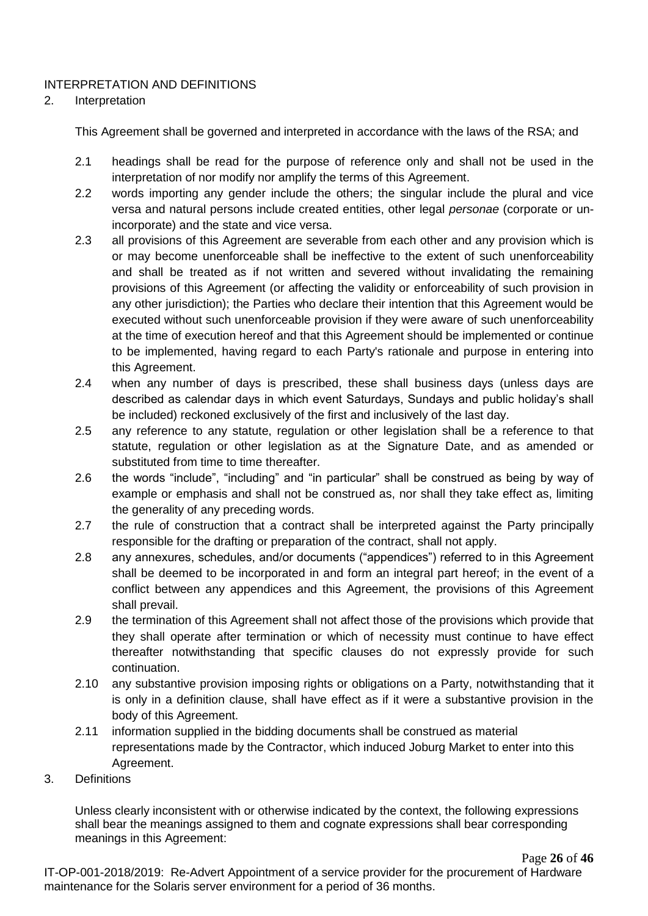### INTERPRETATION AND DEFINITIONS

### 2. Interpretation

This Agreement shall be governed and interpreted in accordance with the laws of the RSA; and

- 2.1 headings shall be read for the purpose of reference only and shall not be used in the interpretation of nor modify nor amplify the terms of this Agreement.
- 2.2 words importing any gender include the others; the singular include the plural and vice versa and natural persons include created entities, other legal *personae* (corporate or unincorporate) and the state and vice versa.
- 2.3 all provisions of this Agreement are severable from each other and any provision which is or may become unenforceable shall be ineffective to the extent of such unenforceability and shall be treated as if not written and severed without invalidating the remaining provisions of this Agreement (or affecting the validity or enforceability of such provision in any other jurisdiction); the Parties who declare their intention that this Agreement would be executed without such unenforceable provision if they were aware of such unenforceability at the time of execution hereof and that this Agreement should be implemented or continue to be implemented, having regard to each Party's rationale and purpose in entering into this Agreement.
- 2.4 when any number of days is prescribed, these shall business days (unless days are described as calendar days in which event Saturdays, Sundays and public holiday's shall be included) reckoned exclusively of the first and inclusively of the last day.
- 2.5 any reference to any statute, regulation or other legislation shall be a reference to that statute, regulation or other legislation as at the Signature Date, and as amended or substituted from time to time thereafter.
- 2.6 the words "include", "including" and "in particular" shall be construed as being by way of example or emphasis and shall not be construed as, nor shall they take effect as, limiting the generality of any preceding words.
- 2.7 the rule of construction that a contract shall be interpreted against the Party principally responsible for the drafting or preparation of the contract, shall not apply.
- 2.8 any annexures, schedules, and/or documents ("appendices") referred to in this Agreement shall be deemed to be incorporated in and form an integral part hereof; in the event of a conflict between any appendices and this Agreement, the provisions of this Agreement shall prevail.
- 2.9 the termination of this Agreement shall not affect those of the provisions which provide that they shall operate after termination or which of necessity must continue to have effect thereafter notwithstanding that specific clauses do not expressly provide for such continuation.
- 2.10 any substantive provision imposing rights or obligations on a Party, notwithstanding that it is only in a definition clause, shall have effect as if it were a substantive provision in the body of this Agreement.
- 2.11 information supplied in the bidding documents shall be construed as material representations made by the Contractor, which induced Joburg Market to enter into this Agreement.
- 3. Definitions

Unless clearly inconsistent with or otherwise indicated by the context, the following expressions shall bear the meanings assigned to them and cognate expressions shall bear corresponding meanings in this Agreement:

Page **26** of **46**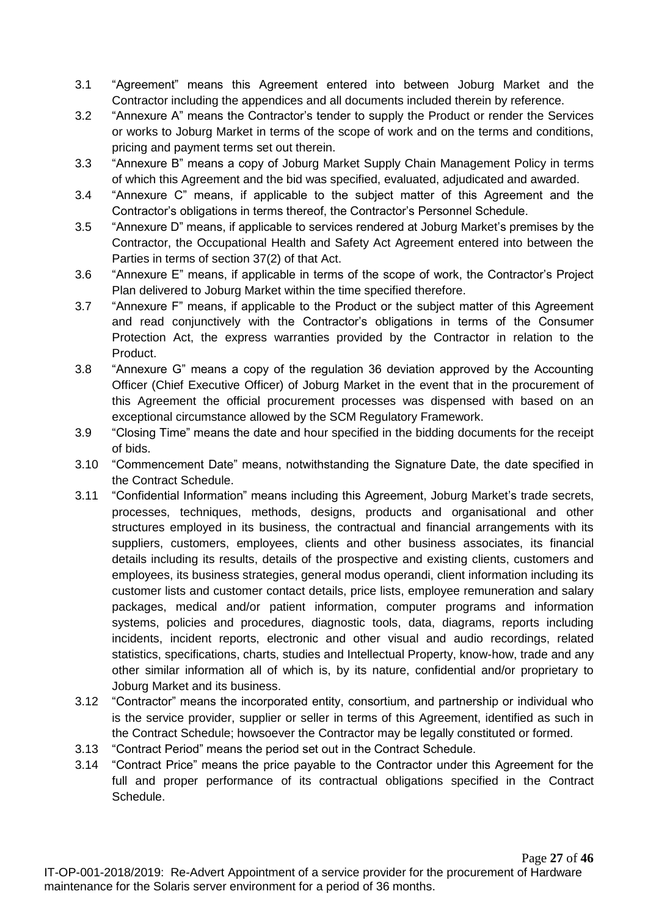- 3.1 "Agreement" means this Agreement entered into between Joburg Market and the Contractor including the appendices and all documents included therein by reference.
- 3.2 "Annexure A" means the Contractor's tender to supply the Product or render the Services or works to Joburg Market in terms of the scope of work and on the terms and conditions, pricing and payment terms set out therein.
- 3.3 "Annexure B" means a copy of Joburg Market Supply Chain Management Policy in terms of which this Agreement and the bid was specified, evaluated, adjudicated and awarded.
- 3.4 "Annexure C" means, if applicable to the subject matter of this Agreement and the Contractor's obligations in terms thereof, the Contractor's Personnel Schedule.
- 3.5 "Annexure D" means, if applicable to services rendered at Joburg Market's premises by the Contractor, the Occupational Health and Safety Act Agreement entered into between the Parties in terms of section 37(2) of that Act.
- 3.6 "Annexure E" means, if applicable in terms of the scope of work, the Contractor's Project Plan delivered to Joburg Market within the time specified therefore.
- 3.7 "Annexure F" means, if applicable to the Product or the subject matter of this Agreement and read conjunctively with the Contractor's obligations in terms of the Consumer Protection Act, the express warranties provided by the Contractor in relation to the Product.
- 3.8 "Annexure G" means a copy of the regulation 36 deviation approved by the Accounting Officer (Chief Executive Officer) of Joburg Market in the event that in the procurement of this Agreement the official procurement processes was dispensed with based on an exceptional circumstance allowed by the SCM Regulatory Framework.
- 3.9 "Closing Time" means the date and hour specified in the bidding documents for the receipt of bids.
- 3.10 "Commencement Date" means, notwithstanding the Signature Date, the date specified in the Contract Schedule.
- 3.11 "Confidential Information" means including this Agreement, Joburg Market's trade secrets, processes, techniques, methods, designs, products and organisational and other structures employed in its business, the contractual and financial arrangements with its suppliers, customers, employees, clients and other business associates, its financial details including its results, details of the prospective and existing clients, customers and employees, its business strategies, general modus operandi, client information including its customer lists and customer contact details, price lists, employee remuneration and salary packages, medical and/or patient information, computer programs and information systems, policies and procedures, diagnostic tools, data, diagrams, reports including incidents, incident reports, electronic and other visual and audio recordings, related statistics, specifications, charts, studies and Intellectual Property, know-how, trade and any other similar information all of which is, by its nature, confidential and/or proprietary to Joburg Market and its business.
- 3.12 "Contractor" means the incorporated entity, consortium, and partnership or individual who is the service provider, supplier or seller in terms of this Agreement, identified as such in the Contract Schedule; howsoever the Contractor may be legally constituted or formed.
- 3.13 "Contract Period" means the period set out in the Contract Schedule.
- 3.14 "Contract Price" means the price payable to the Contractor under this Agreement for the full and proper performance of its contractual obligations specified in the Contract Schedule.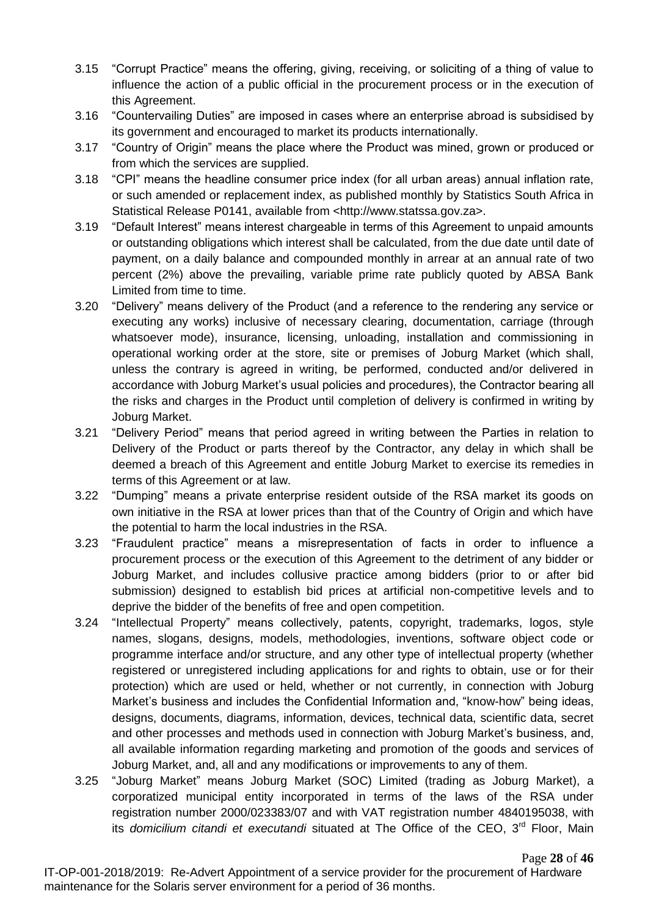- 3.15 "Corrupt Practice" means the offering, giving, receiving, or soliciting of a thing of value to influence the action of a public official in the procurement process or in the execution of this Agreement.
- 3.16 "Countervailing Duties" are imposed in cases where an enterprise abroad is subsidised by its government and encouraged to market its products internationally.
- 3.17 "Country of Origin" means the place where the Product was mined, grown or produced or from which the services are supplied.
- 3.18 "CPI" means the headline consumer price index (for all urban areas) annual inflation rate, or such amended or replacement index, as published monthly by Statistics South Africa in Statistical Release P0141, available from <http://www.statssa.gov.za>.
- 3.19 "Default Interest" means interest chargeable in terms of this Agreement to unpaid amounts or outstanding obligations which interest shall be calculated, from the due date until date of payment, on a daily balance and compounded monthly in arrear at an annual rate of two percent (2%) above the prevailing, variable prime rate publicly quoted by ABSA Bank Limited from time to time.
- 3.20 "Delivery" means delivery of the Product (and a reference to the rendering any service or executing any works) inclusive of necessary clearing, documentation, carriage (through whatsoever mode), insurance, licensing, unloading, installation and commissioning in operational working order at the store, site or premises of Joburg Market (which shall, unless the contrary is agreed in writing, be performed, conducted and/or delivered in accordance with Joburg Market's usual policies and procedures), the Contractor bearing all the risks and charges in the Product until completion of delivery is confirmed in writing by Joburg Market.
- 3.21 "Delivery Period" means that period agreed in writing between the Parties in relation to Delivery of the Product or parts thereof by the Contractor, any delay in which shall be deemed a breach of this Agreement and entitle Joburg Market to exercise its remedies in terms of this Agreement or at law.
- 3.22 "Dumping" means a private enterprise resident outside of the RSA market its goods on own initiative in the RSA at lower prices than that of the Country of Origin and which have the potential to harm the local industries in the RSA.
- 3.23 "Fraudulent practice" means a misrepresentation of facts in order to influence a procurement process or the execution of this Agreement to the detriment of any bidder or Joburg Market, and includes collusive practice among bidders (prior to or after bid submission) designed to establish bid prices at artificial non-competitive levels and to deprive the bidder of the benefits of free and open competition.
- 3.24 "Intellectual Property" means collectively, patents, copyright, trademarks, logos, style names, slogans, designs, models, methodologies, inventions, software object code or programme interface and/or structure, and any other type of intellectual property (whether registered or unregistered including applications for and rights to obtain, use or for their protection) which are used or held, whether or not currently, in connection with Joburg Market's business and includes the Confidential Information and, "know-how" being ideas, designs, documents, diagrams, information, devices, technical data, scientific data, secret and other processes and methods used in connection with Joburg Market's business, and, all available information regarding marketing and promotion of the goods and services of Joburg Market, and, all and any modifications or improvements to any of them.
- 3.25 "Joburg Market" means Joburg Market (SOC) Limited (trading as Joburg Market), a corporatized municipal entity incorporated in terms of the laws of the RSA under registration number 2000/023383/07 and with VAT registration number 4840195038, with its *domicilium citandi et executandi* situated at The Office of the CEO, 3<sup>rd</sup> Floor, Main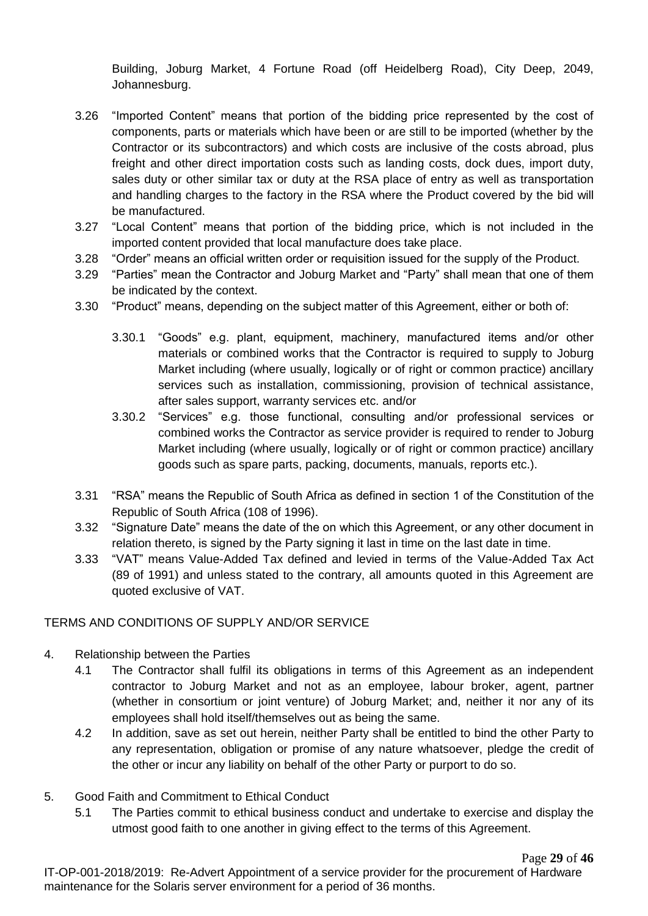Building, Joburg Market, 4 Fortune Road (off Heidelberg Road), City Deep, 2049, Johannesburg.

- 3.26 "Imported Content" means that portion of the bidding price represented by the cost of components, parts or materials which have been or are still to be imported (whether by the Contractor or its subcontractors) and which costs are inclusive of the costs abroad, plus freight and other direct importation costs such as landing costs, dock dues, import duty, sales duty or other similar tax or duty at the RSA place of entry as well as transportation and handling charges to the factory in the RSA where the Product covered by the bid will be manufactured.
- 3.27 "Local Content" means that portion of the bidding price, which is not included in the imported content provided that local manufacture does take place.
- 3.28 "Order" means an official written order or requisition issued for the supply of the Product.
- 3.29 "Parties" mean the Contractor and Joburg Market and "Party" shall mean that one of them be indicated by the context.
- 3.30 "Product" means, depending on the subject matter of this Agreement, either or both of:
	- 3.30.1 "Goods" e.g. plant, equipment, machinery, manufactured items and/or other materials or combined works that the Contractor is required to supply to Joburg Market including (where usually, logically or of right or common practice) ancillary services such as installation, commissioning, provision of technical assistance, after sales support, warranty services etc. and/or
	- 3.30.2 "Services" e.g. those functional, consulting and/or professional services or combined works the Contractor as service provider is required to render to Joburg Market including (where usually, logically or of right or common practice) ancillary goods such as spare parts, packing, documents, manuals, reports etc.).
- 3.31 "RSA" means the Republic of South Africa as defined in section 1 of the Constitution of the Republic of South Africa (108 of 1996).
- 3.32 "Signature Date" means the date of the on which this Agreement, or any other document in relation thereto, is signed by the Party signing it last in time on the last date in time.
- 3.33 "VAT" means Value-Added Tax defined and levied in terms of the Value-Added Tax Act (89 of 1991) and unless stated to the contrary, all amounts quoted in this Agreement are quoted exclusive of VAT.

### TERMS AND CONDITIONS OF SUPPLY AND/OR SERVICE

- 4. Relationship between the Parties
	- 4.1 The Contractor shall fulfil its obligations in terms of this Agreement as an independent contractor to Joburg Market and not as an employee, labour broker, agent, partner (whether in consortium or joint venture) of Joburg Market; and, neither it nor any of its employees shall hold itself/themselves out as being the same.
	- 4.2 In addition, save as set out herein, neither Party shall be entitled to bind the other Party to any representation, obligation or promise of any nature whatsoever, pledge the credit of the other or incur any liability on behalf of the other Party or purport to do so.
- 5. Good Faith and Commitment to Ethical Conduct
	- 5.1 The Parties commit to ethical business conduct and undertake to exercise and display the utmost good faith to one another in giving effect to the terms of this Agreement.

Page **29** of **46**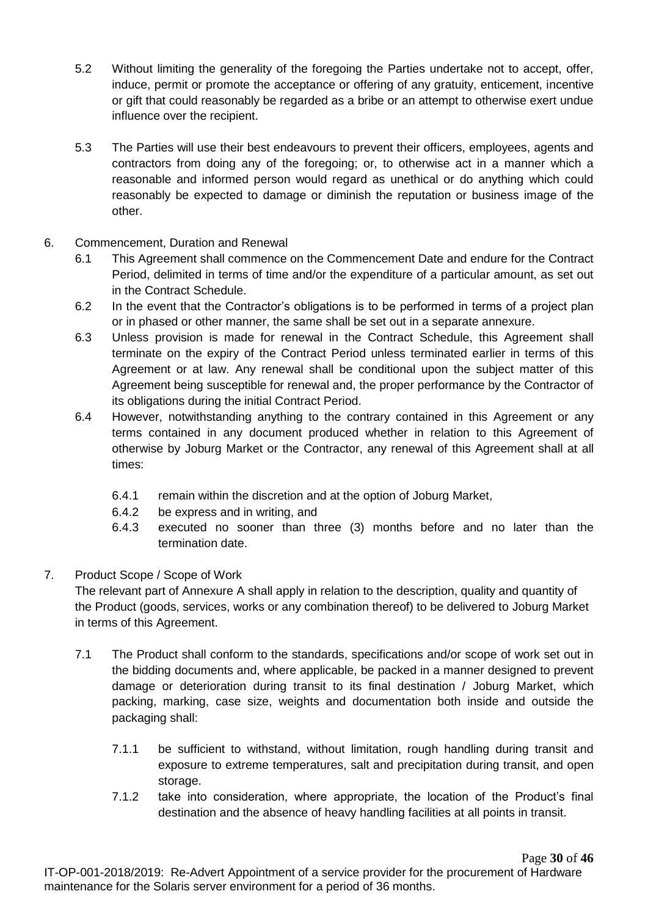- 5.2 Without limiting the generality of the foregoing the Parties undertake not to accept, offer, induce, permit or promote the acceptance or offering of any gratuity, enticement, incentive or gift that could reasonably be regarded as a bribe or an attempt to otherwise exert undue influence over the recipient.
- 5.3 The Parties will use their best endeavours to prevent their officers, employees, agents and contractors from doing any of the foregoing; or, to otherwise act in a manner which a reasonable and informed person would regard as unethical or do anything which could reasonably be expected to damage or diminish the reputation or business image of the other.
- 6. Commencement, Duration and Renewal
	- 6.1 This Agreement shall commence on the Commencement Date and endure for the Contract Period, delimited in terms of time and/or the expenditure of a particular amount, as set out in the Contract Schedule.
	- 6.2 In the event that the Contractor's obligations is to be performed in terms of a project plan or in phased or other manner, the same shall be set out in a separate annexure.
	- 6.3 Unless provision is made for renewal in the Contract Schedule, this Agreement shall terminate on the expiry of the Contract Period unless terminated earlier in terms of this Agreement or at law. Any renewal shall be conditional upon the subject matter of this Agreement being susceptible for renewal and, the proper performance by the Contractor of its obligations during the initial Contract Period.
	- 6.4 However, notwithstanding anything to the contrary contained in this Agreement or any terms contained in any document produced whether in relation to this Agreement of otherwise by Joburg Market or the Contractor, any renewal of this Agreement shall at all times:
		- 6.4.1 remain within the discretion and at the option of Joburg Market,
		- 6.4.2 be express and in writing, and
		- 6.4.3 executed no sooner than three (3) months before and no later than the termination date.

## 7. Product Scope / Scope of Work

The relevant part of Annexure A shall apply in relation to the description, quality and quantity of the Product (goods, services, works or any combination thereof) to be delivered to Joburg Market in terms of this Agreement.

- 7.1 The Product shall conform to the standards, specifications and/or scope of work set out in the bidding documents and, where applicable, be packed in a manner designed to prevent damage or deterioration during transit to its final destination / Joburg Market, which packing, marking, case size, weights and documentation both inside and outside the packaging shall:
	- 7.1.1 be sufficient to withstand, without limitation, rough handling during transit and exposure to extreme temperatures, salt and precipitation during transit, and open storage.
	- 7.1.2 take into consideration, where appropriate, the location of the Product's final destination and the absence of heavy handling facilities at all points in transit.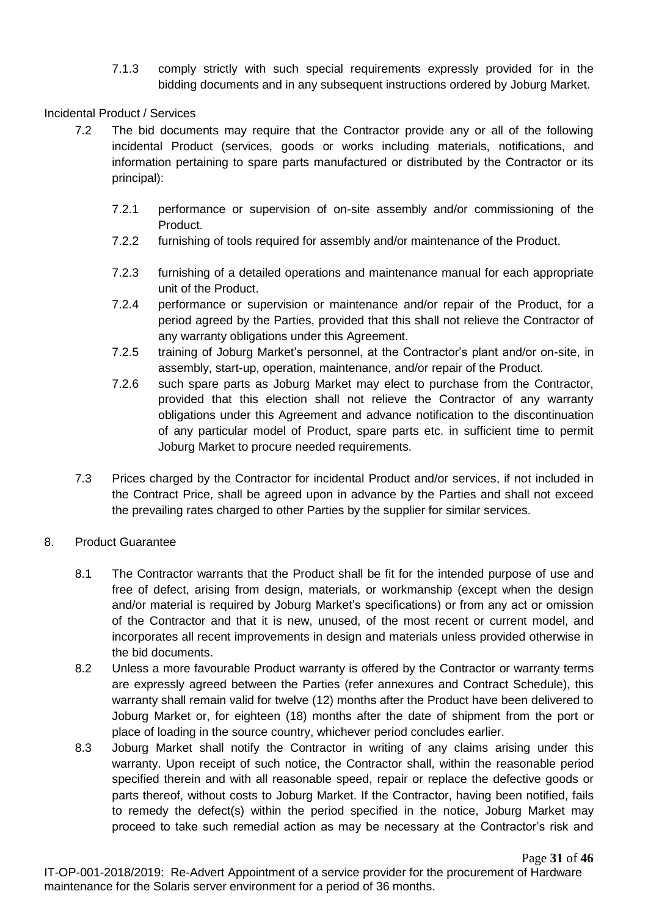7.1.3 comply strictly with such special requirements expressly provided for in the bidding documents and in any subsequent instructions ordered by Joburg Market.

### Incidental Product / Services

- 7.2 The bid documents may require that the Contractor provide any or all of the following incidental Product (services, goods or works including materials, notifications, and information pertaining to spare parts manufactured or distributed by the Contractor or its principal):
	- 7.2.1 performance or supervision of on-site assembly and/or commissioning of the Product.
	- 7.2.2 furnishing of tools required for assembly and/or maintenance of the Product.
	- 7.2.3 furnishing of a detailed operations and maintenance manual for each appropriate unit of the Product.
	- 7.2.4 performance or supervision or maintenance and/or repair of the Product, for a period agreed by the Parties, provided that this shall not relieve the Contractor of any warranty obligations under this Agreement.
	- 7.2.5 training of Joburg Market's personnel, at the Contractor's plant and/or on-site, in assembly, start-up, operation, maintenance, and/or repair of the Product.
	- 7.2.6 such spare parts as Joburg Market may elect to purchase from the Contractor, provided that this election shall not relieve the Contractor of any warranty obligations under this Agreement and advance notification to the discontinuation of any particular model of Product, spare parts etc. in sufficient time to permit Joburg Market to procure needed requirements.
- 7.3 Prices charged by the Contractor for incidental Product and/or services, if not included in the Contract Price, shall be agreed upon in advance by the Parties and shall not exceed the prevailing rates charged to other Parties by the supplier for similar services.

### 8. Product Guarantee

- 8.1 The Contractor warrants that the Product shall be fit for the intended purpose of use and free of defect, arising from design, materials, or workmanship (except when the design and/or material is required by Joburg Market's specifications) or from any act or omission of the Contractor and that it is new, unused, of the most recent or current model, and incorporates all recent improvements in design and materials unless provided otherwise in the bid documents.
- 8.2 Unless a more favourable Product warranty is offered by the Contractor or warranty terms are expressly agreed between the Parties (refer annexures and Contract Schedule), this warranty shall remain valid for twelve (12) months after the Product have been delivered to Joburg Market or, for eighteen (18) months after the date of shipment from the port or place of loading in the source country, whichever period concludes earlier.
- 8.3 Joburg Market shall notify the Contractor in writing of any claims arising under this warranty. Upon receipt of such notice, the Contractor shall, within the reasonable period specified therein and with all reasonable speed, repair or replace the defective goods or parts thereof, without costs to Joburg Market. If the Contractor, having been notified, fails to remedy the defect(s) within the period specified in the notice, Joburg Market may proceed to take such remedial action as may be necessary at the Contractor's risk and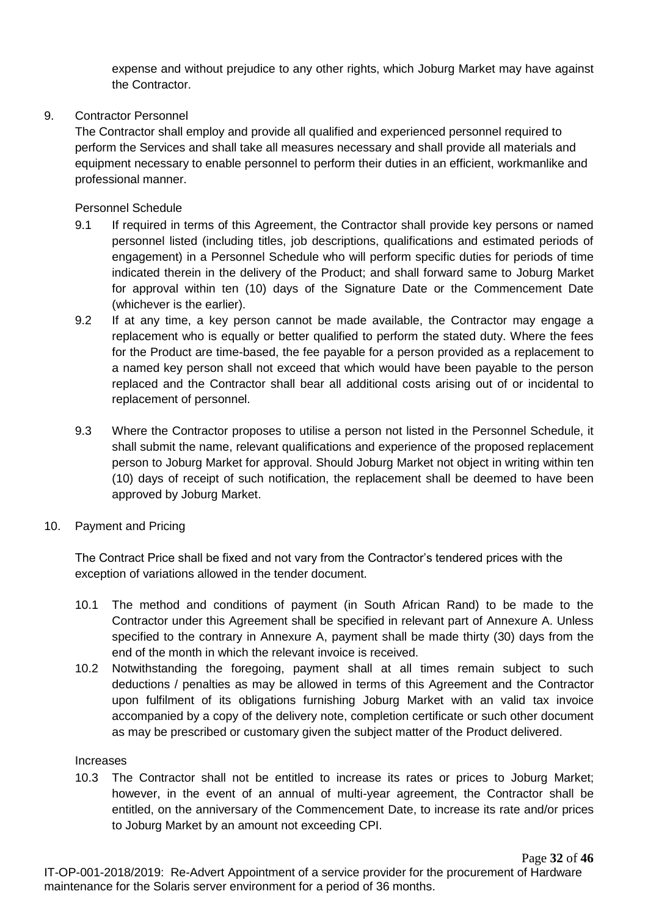expense and without prejudice to any other rights, which Joburg Market may have against the Contractor.

### 9. Contractor Personnel

The Contractor shall employ and provide all qualified and experienced personnel required to perform the Services and shall take all measures necessary and shall provide all materials and equipment necessary to enable personnel to perform their duties in an efficient, workmanlike and professional manner.

Personnel Schedule

- 9.1 If required in terms of this Agreement, the Contractor shall provide key persons or named personnel listed (including titles, job descriptions, qualifications and estimated periods of engagement) in a Personnel Schedule who will perform specific duties for periods of time indicated therein in the delivery of the Product; and shall forward same to Joburg Market for approval within ten (10) days of the Signature Date or the Commencement Date (whichever is the earlier).
- 9.2 If at any time, a key person cannot be made available, the Contractor may engage a replacement who is equally or better qualified to perform the stated duty. Where the fees for the Product are time-based, the fee payable for a person provided as a replacement to a named key person shall not exceed that which would have been payable to the person replaced and the Contractor shall bear all additional costs arising out of or incidental to replacement of personnel.
- 9.3 Where the Contractor proposes to utilise a person not listed in the Personnel Schedule, it shall submit the name, relevant qualifications and experience of the proposed replacement person to Joburg Market for approval. Should Joburg Market not object in writing within ten (10) days of receipt of such notification, the replacement shall be deemed to have been approved by Joburg Market.
- 10. Payment and Pricing

The Contract Price shall be fixed and not vary from the Contractor's tendered prices with the exception of variations allowed in the tender document.

- 10.1 The method and conditions of payment (in South African Rand) to be made to the Contractor under this Agreement shall be specified in relevant part of Annexure A. Unless specified to the contrary in Annexure A, payment shall be made thirty (30) days from the end of the month in which the relevant invoice is received.
- 10.2 Notwithstanding the foregoing, payment shall at all times remain subject to such deductions / penalties as may be allowed in terms of this Agreement and the Contractor upon fulfilment of its obligations furnishing Joburg Market with an valid tax invoice accompanied by a copy of the delivery note, completion certificate or such other document as may be prescribed or customary given the subject matter of the Product delivered.

### Increases

10.3 The Contractor shall not be entitled to increase its rates or prices to Joburg Market; however, in the event of an annual of multi-year agreement, the Contractor shall be entitled, on the anniversary of the Commencement Date, to increase its rate and/or prices to Joburg Market by an amount not exceeding CPI.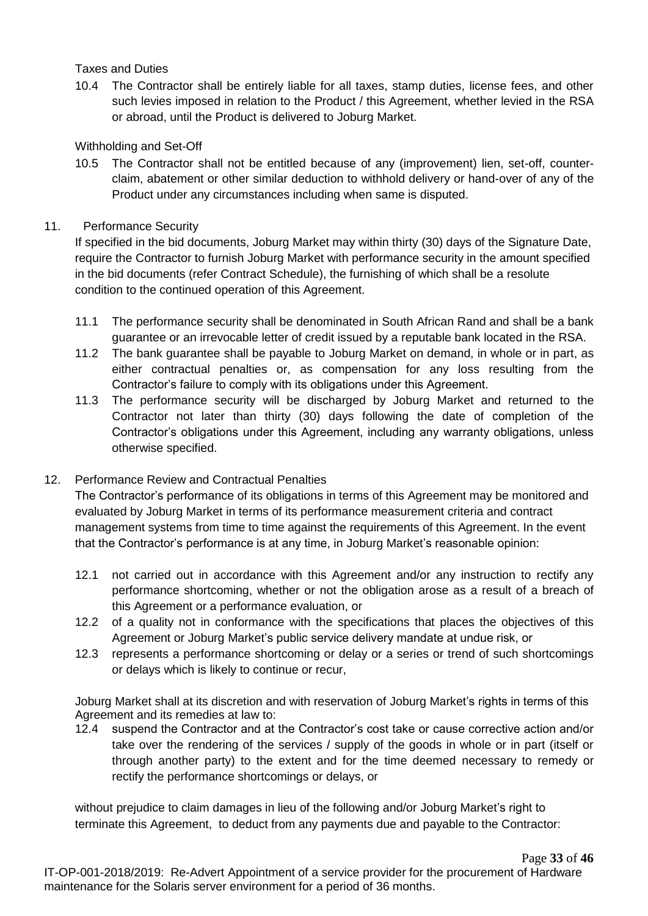### Taxes and Duties

10.4 The Contractor shall be entirely liable for all taxes, stamp duties, license fees, and other such levies imposed in relation to the Product / this Agreement, whether levied in the RSA or abroad, until the Product is delivered to Joburg Market.

### Withholding and Set-Off

10.5 The Contractor shall not be entitled because of any (improvement) lien, set-off, counterclaim, abatement or other similar deduction to withhold delivery or hand-over of any of the Product under any circumstances including when same is disputed.

### 11. Performance Security

If specified in the bid documents, Joburg Market may within thirty (30) days of the Signature Date, require the Contractor to furnish Joburg Market with performance security in the amount specified in the bid documents (refer Contract Schedule), the furnishing of which shall be a resolute condition to the continued operation of this Agreement.

- 11.1 The performance security shall be denominated in South African Rand and shall be a bank guarantee or an irrevocable letter of credit issued by a reputable bank located in the RSA.
- 11.2 The bank guarantee shall be payable to Joburg Market on demand, in whole or in part, as either contractual penalties or, as compensation for any loss resulting from the Contractor's failure to comply with its obligations under this Agreement.
- 11.3 The performance security will be discharged by Joburg Market and returned to the Contractor not later than thirty (30) days following the date of completion of the Contractor's obligations under this Agreement, including any warranty obligations, unless otherwise specified.

### 12. Performance Review and Contractual Penalties

The Contractor's performance of its obligations in terms of this Agreement may be monitored and evaluated by Joburg Market in terms of its performance measurement criteria and contract management systems from time to time against the requirements of this Agreement. In the event that the Contractor's performance is at any time, in Joburg Market's reasonable opinion:

- 12.1 not carried out in accordance with this Agreement and/or any instruction to rectify any performance shortcoming, whether or not the obligation arose as a result of a breach of this Agreement or a performance evaluation, or
- 12.2 of a quality not in conformance with the specifications that places the objectives of this Agreement or Joburg Market's public service delivery mandate at undue risk, or
- 12.3 represents a performance shortcoming or delay or a series or trend of such shortcomings or delays which is likely to continue or recur,

Joburg Market shall at its discretion and with reservation of Joburg Market's rights in terms of this Agreement and its remedies at law to:

12.4 suspend the Contractor and at the Contractor's cost take or cause corrective action and/or take over the rendering of the services / supply of the goods in whole or in part (itself or through another party) to the extent and for the time deemed necessary to remedy or rectify the performance shortcomings or delays, or

without prejudice to claim damages in lieu of the following and/or Joburg Market's right to terminate this Agreement, to deduct from any payments due and payable to the Contractor: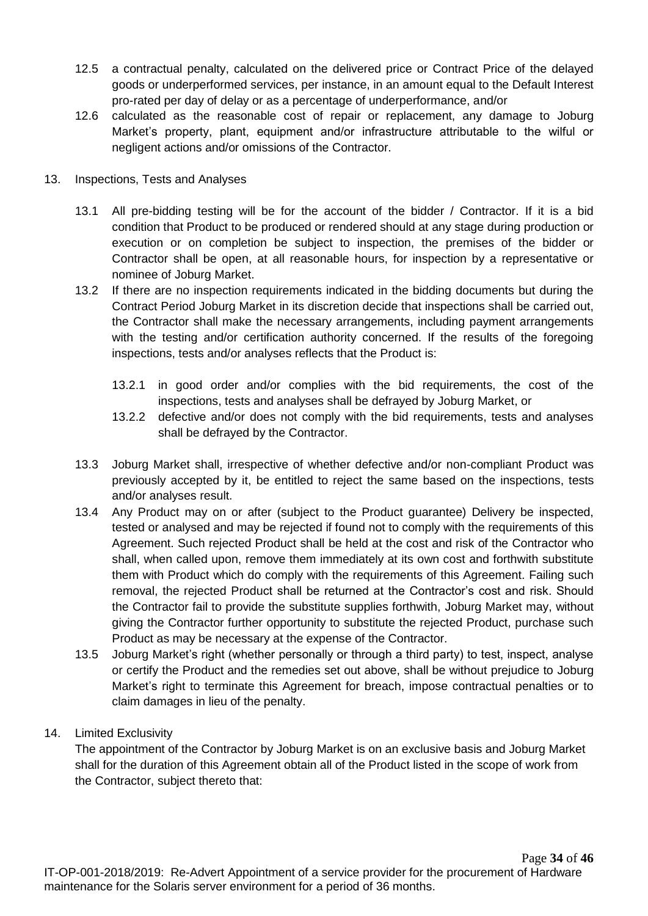- 12.5 a contractual penalty, calculated on the delivered price or Contract Price of the delayed goods or underperformed services, per instance, in an amount equal to the Default Interest pro-rated per day of delay or as a percentage of underperformance, and/or
- 12.6 calculated as the reasonable cost of repair or replacement, any damage to Joburg Market's property, plant, equipment and/or infrastructure attributable to the wilful or negligent actions and/or omissions of the Contractor.
- 13. Inspections, Tests and Analyses
	- 13.1 All pre-bidding testing will be for the account of the bidder / Contractor. If it is a bid condition that Product to be produced or rendered should at any stage during production or execution or on completion be subject to inspection, the premises of the bidder or Contractor shall be open, at all reasonable hours, for inspection by a representative or nominee of Joburg Market.
	- 13.2 If there are no inspection requirements indicated in the bidding documents but during the Contract Period Joburg Market in its discretion decide that inspections shall be carried out, the Contractor shall make the necessary arrangements, including payment arrangements with the testing and/or certification authority concerned. If the results of the foregoing inspections, tests and/or analyses reflects that the Product is:
		- 13.2.1 in good order and/or complies with the bid requirements, the cost of the inspections, tests and analyses shall be defrayed by Joburg Market, or
		- 13.2.2 defective and/or does not comply with the bid requirements, tests and analyses shall be defrayed by the Contractor.
	- 13.3 Joburg Market shall, irrespective of whether defective and/or non-compliant Product was previously accepted by it, be entitled to reject the same based on the inspections, tests and/or analyses result.
	- 13.4 Any Product may on or after (subject to the Product guarantee) Delivery be inspected, tested or analysed and may be rejected if found not to comply with the requirements of this Agreement. Such rejected Product shall be held at the cost and risk of the Contractor who shall, when called upon, remove them immediately at its own cost and forthwith substitute them with Product which do comply with the requirements of this Agreement. Failing such removal, the rejected Product shall be returned at the Contractor's cost and risk. Should the Contractor fail to provide the substitute supplies forthwith, Joburg Market may, without giving the Contractor further opportunity to substitute the rejected Product, purchase such Product as may be necessary at the expense of the Contractor.
	- 13.5 Joburg Market's right (whether personally or through a third party) to test, inspect, analyse or certify the Product and the remedies set out above, shall be without prejudice to Joburg Market's right to terminate this Agreement for breach, impose contractual penalties or to claim damages in lieu of the penalty.
- 14. Limited Exclusivity

The appointment of the Contractor by Joburg Market is on an exclusive basis and Joburg Market shall for the duration of this Agreement obtain all of the Product listed in the scope of work from the Contractor, subject thereto that: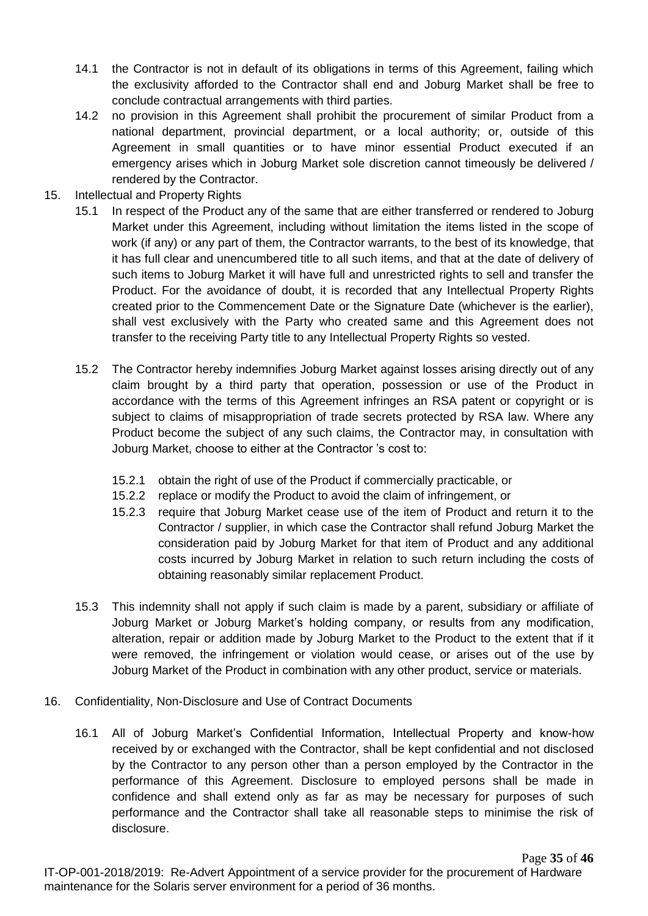- 14.1 the Contractor is not in default of its obligations in terms of this Agreement, failing which the exclusivity afforded to the Contractor shall end and Joburg Market shall be free to conclude contractual arrangements with third parties.
- 14.2 no provision in this Agreement shall prohibit the procurement of similar Product from a national department, provincial department, or a local authority; or, outside of this Agreement in small quantities or to have minor essential Product executed if an emergency arises which in Joburg Market sole discretion cannot timeously be delivered / rendered by the Contractor.
- 15. Intellectual and Property Rights
	- 15.1 In respect of the Product any of the same that are either transferred or rendered to Joburg Market under this Agreement, including without limitation the items listed in the scope of work (if any) or any part of them, the Contractor warrants, to the best of its knowledge, that it has full clear and unencumbered title to all such items, and that at the date of delivery of such items to Joburg Market it will have full and unrestricted rights to sell and transfer the Product. For the avoidance of doubt, it is recorded that any Intellectual Property Rights created prior to the Commencement Date or the Signature Date (whichever is the earlier), shall vest exclusively with the Party who created same and this Agreement does not transfer to the receiving Party title to any Intellectual Property Rights so vested.
	- 15.2 The Contractor hereby indemnifies Joburg Market against losses arising directly out of any claim brought by a third party that operation, possession or use of the Product in accordance with the terms of this Agreement infringes an RSA patent or copyright or is subject to claims of misappropriation of trade secrets protected by RSA law. Where any Product become the subject of any such claims, the Contractor may, in consultation with Joburg Market, choose to either at the Contractor 's cost to:
		- 15.2.1 obtain the right of use of the Product if commercially practicable, or
		- 15.2.2 replace or modify the Product to avoid the claim of infringement, or
		- 15.2.3 require that Joburg Market cease use of the item of Product and return it to the Contractor / supplier, in which case the Contractor shall refund Joburg Market the consideration paid by Joburg Market for that item of Product and any additional costs incurred by Joburg Market in relation to such return including the costs of obtaining reasonably similar replacement Product.
	- 15.3 This indemnity shall not apply if such claim is made by a parent, subsidiary or affiliate of Joburg Market or Joburg Market's holding company, or results from any modification, alteration, repair or addition made by Joburg Market to the Product to the extent that if it were removed, the infringement or violation would cease, or arises out of the use by Joburg Market of the Product in combination with any other product, service or materials.
- 16. Confidentiality, Non-Disclosure and Use of Contract Documents
	- 16.1 All of Joburg Market's Confidential Information, Intellectual Property and know-how received by or exchanged with the Contractor, shall be kept confidential and not disclosed by the Contractor to any person other than a person employed by the Contractor in the performance of this Agreement. Disclosure to employed persons shall be made in confidence and shall extend only as far as may be necessary for purposes of such performance and the Contractor shall take all reasonable steps to minimise the risk of disclosure.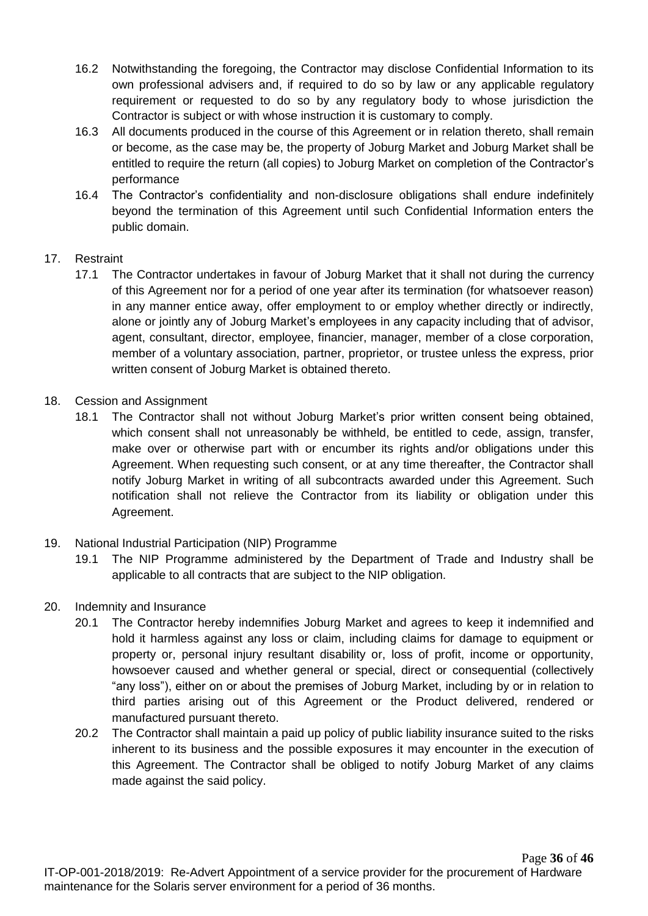- 16.2 Notwithstanding the foregoing, the Contractor may disclose Confidential Information to its own professional advisers and, if required to do so by law or any applicable regulatory requirement or requested to do so by any regulatory body to whose jurisdiction the Contractor is subject or with whose instruction it is customary to comply.
- 16.3 All documents produced in the course of this Agreement or in relation thereto, shall remain or become, as the case may be, the property of Joburg Market and Joburg Market shall be entitled to require the return (all copies) to Joburg Market on completion of the Contractor's performance
- 16.4 The Contractor's confidentiality and non-disclosure obligations shall endure indefinitely beyond the termination of this Agreement until such Confidential Information enters the public domain.

### 17. Restraint

- 17.1 The Contractor undertakes in favour of Joburg Market that it shall not during the currency of this Agreement nor for a period of one year after its termination (for whatsoever reason) in any manner entice away, offer employment to or employ whether directly or indirectly, alone or jointly any of Joburg Market's employees in any capacity including that of advisor, agent, consultant, director, employee, financier, manager, member of a close corporation, member of a voluntary association, partner, proprietor, or trustee unless the express, prior written consent of Joburg Market is obtained thereto.
- 18. Cession and Assignment
	- 18.1 The Contractor shall not without Joburg Market's prior written consent being obtained, which consent shall not unreasonably be withheld, be entitled to cede, assign, transfer, make over or otherwise part with or encumber its rights and/or obligations under this Agreement. When requesting such consent, or at any time thereafter, the Contractor shall notify Joburg Market in writing of all subcontracts awarded under this Agreement. Such notification shall not relieve the Contractor from its liability or obligation under this Agreement.
- 19. National Industrial Participation (NIP) Programme
	- 19.1 The NIP Programme administered by the Department of Trade and Industry shall be applicable to all contracts that are subject to the NIP obligation.
- 20. Indemnity and Insurance
	- 20.1 The Contractor hereby indemnifies Joburg Market and agrees to keep it indemnified and hold it harmless against any loss or claim, including claims for damage to equipment or property or, personal injury resultant disability or, loss of profit, income or opportunity, howsoever caused and whether general or special, direct or consequential (collectively "any loss"), either on or about the premises of Joburg Market, including by or in relation to third parties arising out of this Agreement or the Product delivered, rendered or manufactured pursuant thereto.
	- 20.2 The Contractor shall maintain a paid up policy of public liability insurance suited to the risks inherent to its business and the possible exposures it may encounter in the execution of this Agreement. The Contractor shall be obliged to notify Joburg Market of any claims made against the said policy.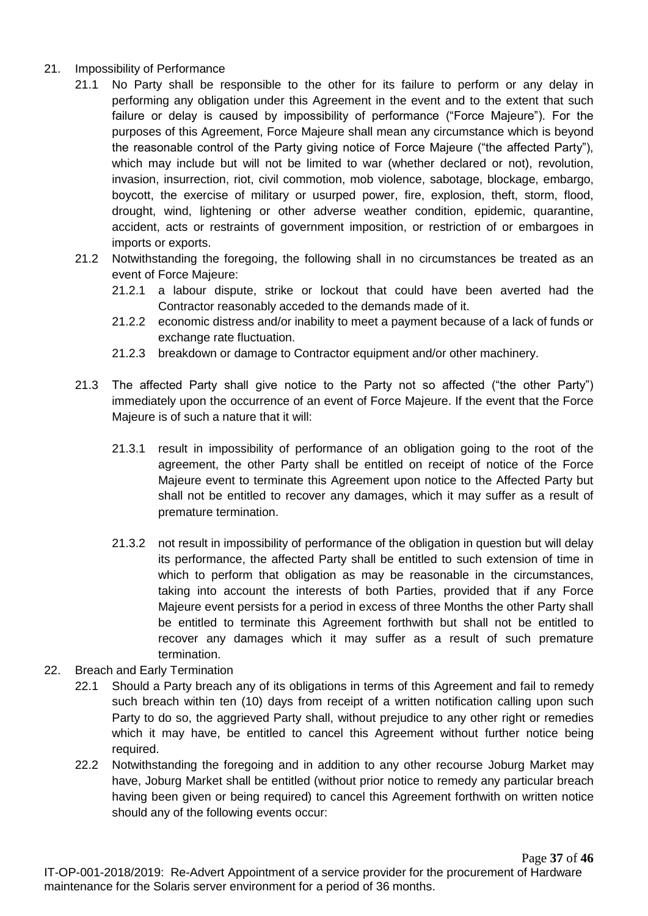- 21. Impossibility of Performance
	- 21.1 No Party shall be responsible to the other for its failure to perform or any delay in performing any obligation under this Agreement in the event and to the extent that such failure or delay is caused by impossibility of performance ("Force Majeure"). For the purposes of this Agreement, Force Majeure shall mean any circumstance which is beyond the reasonable control of the Party giving notice of Force Majeure ("the affected Party"), which may include but will not be limited to war (whether declared or not), revolution, invasion, insurrection, riot, civil commotion, mob violence, sabotage, blockage, embargo, boycott, the exercise of military or usurped power, fire, explosion, theft, storm, flood, drought, wind, lightening or other adverse weather condition, epidemic, quarantine, accident, acts or restraints of government imposition, or restriction of or embargoes in imports or exports.
	- 21.2 Notwithstanding the foregoing, the following shall in no circumstances be treated as an event of Force Majeure:
		- 21.2.1 a labour dispute, strike or lockout that could have been averted had the Contractor reasonably acceded to the demands made of it.
		- 21.2.2 economic distress and/or inability to meet a payment because of a lack of funds or exchange rate fluctuation.
		- 21.2.3 breakdown or damage to Contractor equipment and/or other machinery.
	- 21.3 The affected Party shall give notice to the Party not so affected ("the other Party") immediately upon the occurrence of an event of Force Majeure. If the event that the Force Majeure is of such a nature that it will:
		- 21.3.1 result in impossibility of performance of an obligation going to the root of the agreement, the other Party shall be entitled on receipt of notice of the Force Majeure event to terminate this Agreement upon notice to the Affected Party but shall not be entitled to recover any damages, which it may suffer as a result of premature termination.
		- 21.3.2 not result in impossibility of performance of the obligation in question but will delay its performance, the affected Party shall be entitled to such extension of time in which to perform that obligation as may be reasonable in the circumstances, taking into account the interests of both Parties, provided that if any Force Majeure event persists for a period in excess of three Months the other Party shall be entitled to terminate this Agreement forthwith but shall not be entitled to recover any damages which it may suffer as a result of such premature termination.
- 22. Breach and Early Termination
	- 22.1 Should a Party breach any of its obligations in terms of this Agreement and fail to remedy such breach within ten (10) days from receipt of a written notification calling upon such Party to do so, the aggrieved Party shall, without prejudice to any other right or remedies which it may have, be entitled to cancel this Agreement without further notice being required.
	- 22.2 Notwithstanding the foregoing and in addition to any other recourse Joburg Market may have, Joburg Market shall be entitled (without prior notice to remedy any particular breach having been given or being required) to cancel this Agreement forthwith on written notice should any of the following events occur: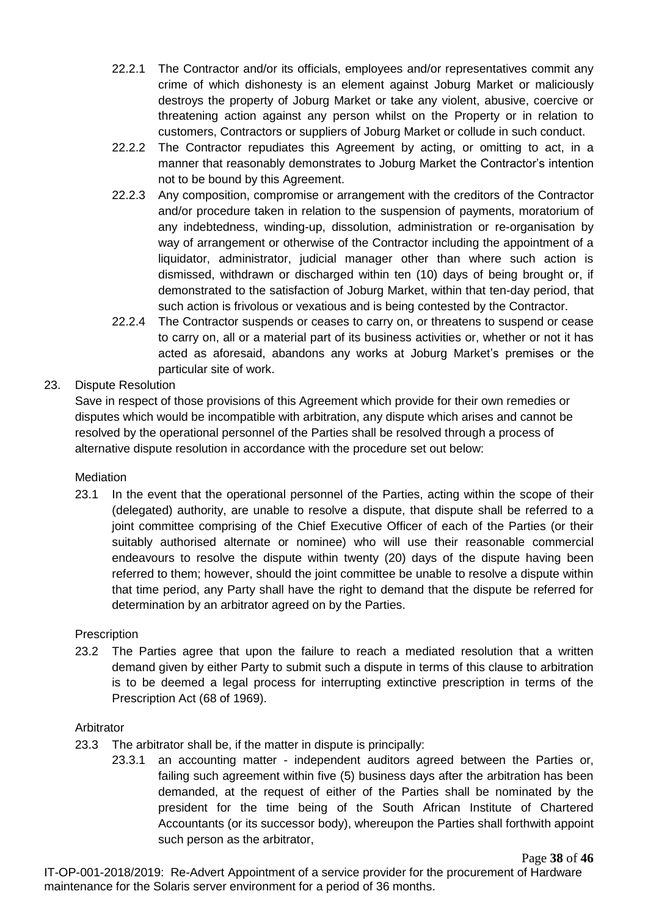- 22.2.1 The Contractor and/or its officials, employees and/or representatives commit any crime of which dishonesty is an element against Joburg Market or maliciously destroys the property of Joburg Market or take any violent, abusive, coercive or threatening action against any person whilst on the Property or in relation to customers, Contractors or suppliers of Joburg Market or collude in such conduct.
- 22.2.2 The Contractor repudiates this Agreement by acting, or omitting to act, in a manner that reasonably demonstrates to Joburg Market the Contractor's intention not to be bound by this Agreement.
- 22.2.3 Any composition, compromise or arrangement with the creditors of the Contractor and/or procedure taken in relation to the suspension of payments, moratorium of any indebtedness, winding-up, dissolution, administration or re-organisation by way of arrangement or otherwise of the Contractor including the appointment of a liquidator, administrator, judicial manager other than where such action is dismissed, withdrawn or discharged within ten (10) days of being brought or, if demonstrated to the satisfaction of Joburg Market, within that ten-day period, that such action is frivolous or vexatious and is being contested by the Contractor.
- 22.2.4 The Contractor suspends or ceases to carry on, or threatens to suspend or cease to carry on, all or a material part of its business activities or, whether or not it has acted as aforesaid, abandons any works at Joburg Market's premises or the particular site of work.

### 23. Dispute Resolution

Save in respect of those provisions of this Agreement which provide for their own remedies or disputes which would be incompatible with arbitration, any dispute which arises and cannot be resolved by the operational personnel of the Parties shall be resolved through a process of alternative dispute resolution in accordance with the procedure set out below:

### **Mediation**

23.1 In the event that the operational personnel of the Parties, acting within the scope of their (delegated) authority, are unable to resolve a dispute, that dispute shall be referred to a joint committee comprising of the Chief Executive Officer of each of the Parties (or their suitably authorised alternate or nominee) who will use their reasonable commercial endeavours to resolve the dispute within twenty (20) days of the dispute having been referred to them; however, should the joint committee be unable to resolve a dispute within that time period, any Party shall have the right to demand that the dispute be referred for determination by an arbitrator agreed on by the Parties.

### **Prescription**

23.2 The Parties agree that upon the failure to reach a mediated resolution that a written demand given by either Party to submit such a dispute in terms of this clause to arbitration is to be deemed a legal process for interrupting extinctive prescription in terms of the Prescription Act (68 of 1969).

### Arbitrator

- 23.3 The arbitrator shall be, if the matter in dispute is principally:
	- 23.3.1 an accounting matter independent auditors agreed between the Parties or, failing such agreement within five (5) business days after the arbitration has been demanded, at the request of either of the Parties shall be nominated by the president for the time being of the South African Institute of Chartered Accountants (or its successor body), whereupon the Parties shall forthwith appoint such person as the arbitrator,

IT-OP-001-2018/2019: Re-Advert Appointment of a service provider for the procurement of Hardware maintenance for the Solaris server environment for a period of 36 months.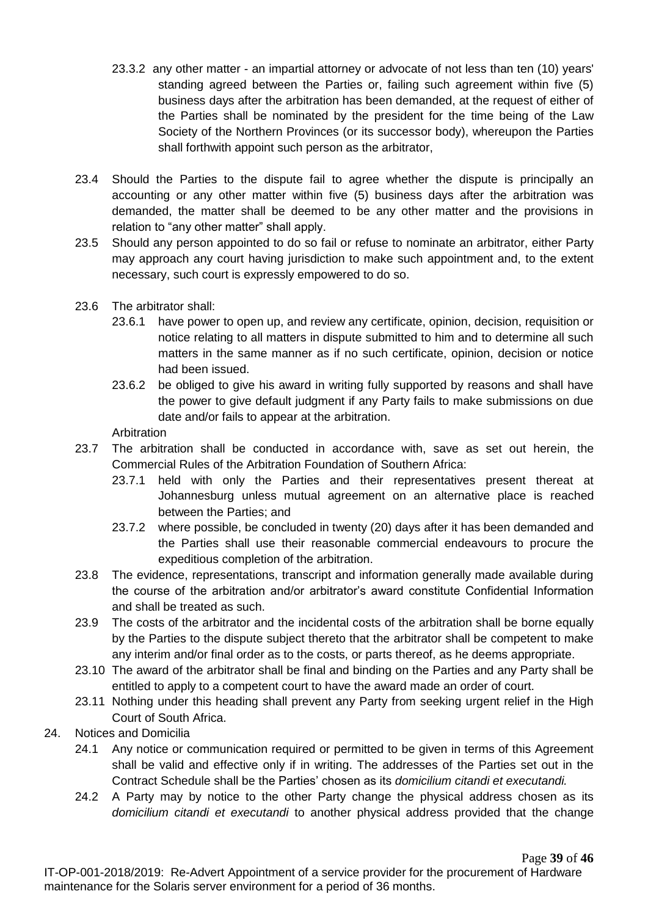- 23.3.2 any other matter an impartial attorney or advocate of not less than ten (10) years' standing agreed between the Parties or, failing such agreement within five (5) business days after the arbitration has been demanded, at the request of either of the Parties shall be nominated by the president for the time being of the Law Society of the Northern Provinces (or its successor body), whereupon the Parties shall forthwith appoint such person as the arbitrator,
- 23.4 Should the Parties to the dispute fail to agree whether the dispute is principally an accounting or any other matter within five (5) business days after the arbitration was demanded, the matter shall be deemed to be any other matter and the provisions in relation to "any other matter" shall apply.
- 23.5 Should any person appointed to do so fail or refuse to nominate an arbitrator, either Party may approach any court having jurisdiction to make such appointment and, to the extent necessary, such court is expressly empowered to do so.
- 23.6 The arbitrator shall:
	- 23.6.1 have power to open up, and review any certificate, opinion, decision, requisition or notice relating to all matters in dispute submitted to him and to determine all such matters in the same manner as if no such certificate, opinion, decision or notice had been issued.
	- 23.6.2 be obliged to give his award in writing fully supported by reasons and shall have the power to give default judgment if any Party fails to make submissions on due date and/or fails to appear at the arbitration.

**Arbitration** 

- 23.7 The arbitration shall be conducted in accordance with, save as set out herein, the Commercial Rules of the Arbitration Foundation of Southern Africa:
	- 23.7.1 held with only the Parties and their representatives present thereat at Johannesburg unless mutual agreement on an alternative place is reached between the Parties; and
	- 23.7.2 where possible, be concluded in twenty (20) days after it has been demanded and the Parties shall use their reasonable commercial endeavours to procure the expeditious completion of the arbitration.
- 23.8 The evidence, representations, transcript and information generally made available during the course of the arbitration and/or arbitrator's award constitute Confidential Information and shall be treated as such.
- 23.9 The costs of the arbitrator and the incidental costs of the arbitration shall be borne equally by the Parties to the dispute subject thereto that the arbitrator shall be competent to make any interim and/or final order as to the costs, or parts thereof, as he deems appropriate.
- 23.10 The award of the arbitrator shall be final and binding on the Parties and any Party shall be entitled to apply to a competent court to have the award made an order of court.
- 23.11 Nothing under this heading shall prevent any Party from seeking urgent relief in the High Court of South Africa.
- 24. Notices and Domicilia
	- 24.1 Any notice or communication required or permitted to be given in terms of this Agreement shall be valid and effective only if in writing. The addresses of the Parties set out in the Contract Schedule shall be the Parties' chosen as its *domicilium citandi et executandi.*
	- 24.2 A Party may by notice to the other Party change the physical address chosen as its *domicilium citandi et executandi* to another physical address provided that the change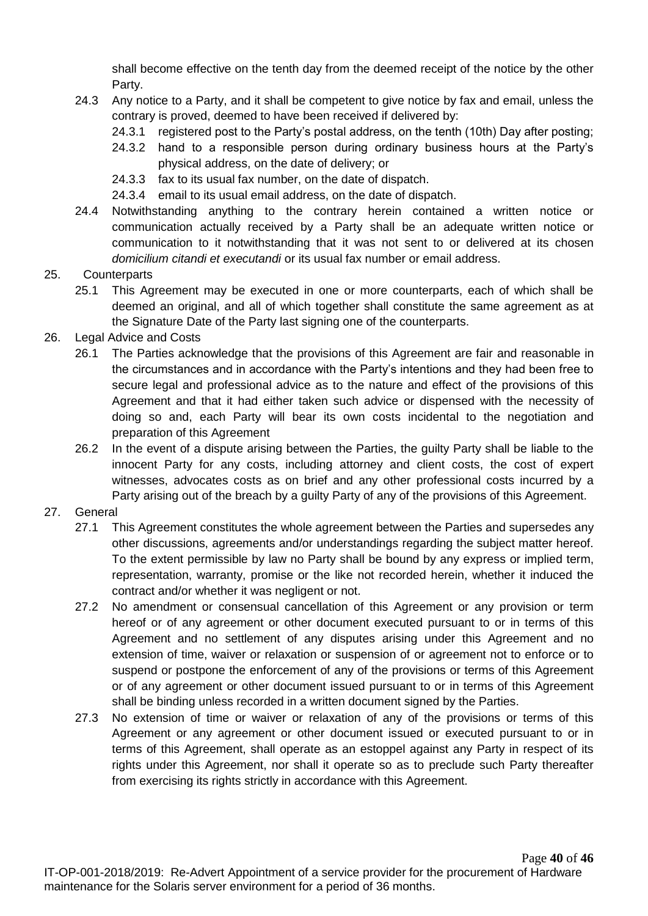shall become effective on the tenth day from the deemed receipt of the notice by the other Party.

- 24.3 Any notice to a Party, and it shall be competent to give notice by fax and email, unless the contrary is proved, deemed to have been received if delivered by:
	- 24.3.1 registered post to the Party's postal address, on the tenth (10th) Day after posting;
	- 24.3.2 hand to a responsible person during ordinary business hours at the Party's physical address, on the date of delivery; or
	- 24.3.3 fax to its usual fax number, on the date of dispatch.
	- 24.3.4 email to its usual email address, on the date of dispatch.
- 24.4 Notwithstanding anything to the contrary herein contained a written notice or communication actually received by a Party shall be an adequate written notice or communication to it notwithstanding that it was not sent to or delivered at its chosen *domicilium citandi et executandi* or its usual fax number or email address.

### 25. Counterparts

- 25.1 This Agreement may be executed in one or more counterparts, each of which shall be deemed an original, and all of which together shall constitute the same agreement as at the Signature Date of the Party last signing one of the counterparts.
- 26. Legal Advice and Costs
	- 26.1 The Parties acknowledge that the provisions of this Agreement are fair and reasonable in the circumstances and in accordance with the Party's intentions and they had been free to secure legal and professional advice as to the nature and effect of the provisions of this Agreement and that it had either taken such advice or dispensed with the necessity of doing so and, each Party will bear its own costs incidental to the negotiation and preparation of this Agreement
	- 26.2 In the event of a dispute arising between the Parties, the guilty Party shall be liable to the innocent Party for any costs, including attorney and client costs, the cost of expert witnesses, advocates costs as on brief and any other professional costs incurred by a Party arising out of the breach by a guilty Party of any of the provisions of this Agreement.

### 27. General

- 27.1 This Agreement constitutes the whole agreement between the Parties and supersedes any other discussions, agreements and/or understandings regarding the subject matter hereof. To the extent permissible by law no Party shall be bound by any express or implied term, representation, warranty, promise or the like not recorded herein, whether it induced the contract and/or whether it was negligent or not.
- 27.2 No amendment or consensual cancellation of this Agreement or any provision or term hereof or of any agreement or other document executed pursuant to or in terms of this Agreement and no settlement of any disputes arising under this Agreement and no extension of time, waiver or relaxation or suspension of or agreement not to enforce or to suspend or postpone the enforcement of any of the provisions or terms of this Agreement or of any agreement or other document issued pursuant to or in terms of this Agreement shall be binding unless recorded in a written document signed by the Parties.
- 27.3 No extension of time or waiver or relaxation of any of the provisions or terms of this Agreement or any agreement or other document issued or executed pursuant to or in terms of this Agreement, shall operate as an estoppel against any Party in respect of its rights under this Agreement, nor shall it operate so as to preclude such Party thereafter from exercising its rights strictly in accordance with this Agreement.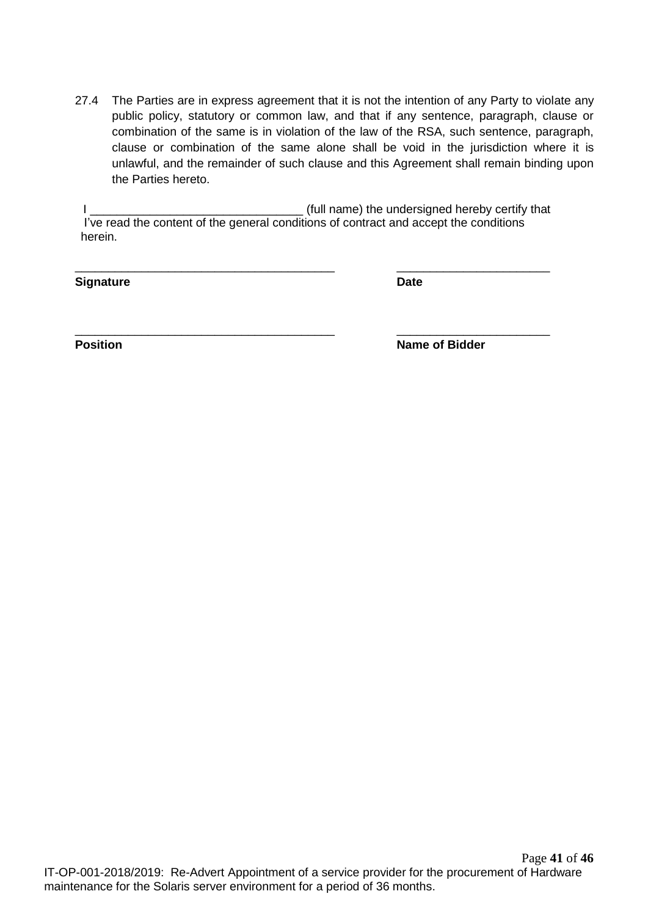27.4 The Parties are in express agreement that it is not the intention of any Party to violate any public policy, statutory or common law, and that if any sentence, paragraph, clause or combination of the same is in violation of the law of the RSA, such sentence, paragraph, clause or combination of the same alone shall be void in the jurisdiction where it is unlawful, and the remainder of such clause and this Agreement shall remain binding upon the Parties hereto.

I \_\_\_\_\_\_\_\_\_\_\_\_\_\_\_\_\_\_\_\_\_\_\_\_\_\_\_\_\_\_\_\_ (full name) the undersigned hereby certify that I've read the content of the general conditions of contract and accept the conditions herein.

\_\_\_\_\_\_\_\_\_\_\_\_\_\_\_\_\_\_\_\_\_\_\_\_\_\_\_\_\_\_\_\_\_\_\_\_\_\_\_ \_\_\_\_\_\_\_\_\_\_\_\_\_\_\_\_\_\_\_\_\_\_\_

\_\_\_\_\_\_\_\_\_\_\_\_\_\_\_\_\_\_\_\_\_\_\_\_\_\_\_\_\_\_\_\_\_\_\_\_\_\_\_ \_\_\_\_\_\_\_\_\_\_\_\_\_\_\_\_\_\_\_\_\_\_\_

**Signature Date** 

**Position Name of Bidder**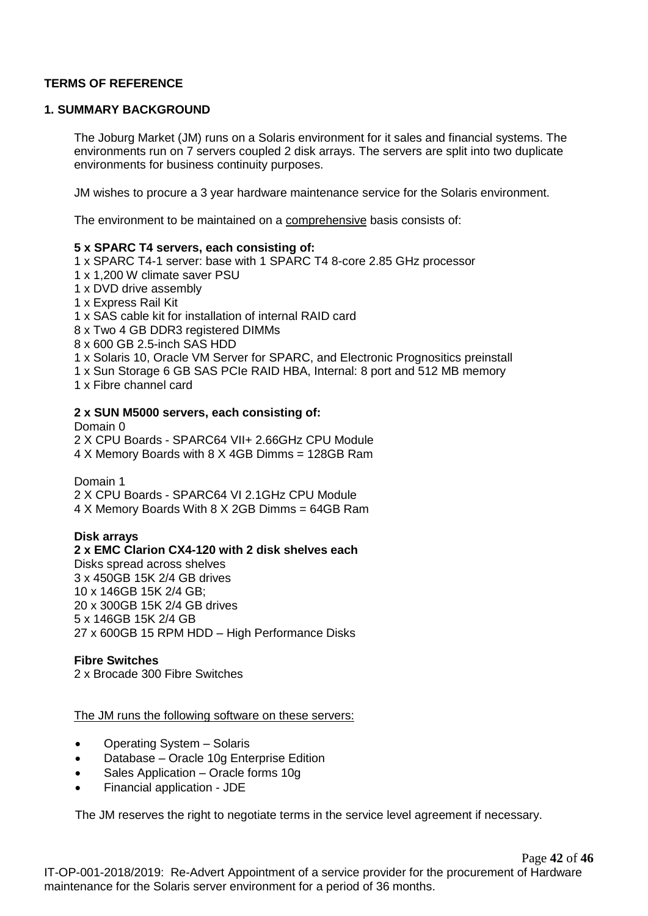### **TERMS OF REFERENCE**

#### **1. SUMMARY BACKGROUND**

The Joburg Market (JM) runs on a Solaris environment for it sales and financial systems. The environments run on 7 servers coupled 2 disk arrays. The servers are split into two duplicate environments for business continuity purposes.

JM wishes to procure a 3 year hardware maintenance service for the Solaris environment.

The environment to be maintained on a comprehensive basis consists of:

#### **5 x SPARC T4 servers, each consisting of:**

1 x SPARC T4-1 server: base with 1 SPARC T4 8-core 2.85 GHz processor

- 1 x 1,200 W climate saver PSU
- 1 x DVD drive assembly

1 x Express Rail Kit

1 x SAS cable kit for installation of internal RAID card

8 x Two 4 GB DDR3 registered DIMMs

8 x 600 GB 2.5-inch SAS HDD

1 x Solaris 10, Oracle VM Server for SPARC, and Electronic Prognositics preinstall

1 x Sun Storage 6 GB SAS PCIe RAID HBA, Internal: 8 port and 512 MB memory

1 x Fibre channel card

#### **2 x SUN M5000 servers, each consisting of:**

Domain 0 2 X CPU Boards - SPARC64 VII+ 2.66GHz CPU Module 4 X Memory Boards with 8 X 4GB Dimms = 128GB Ram

Domain 1

2 X CPU Boards - SPARC64 VI 2.1GHz CPU Module 4 X Memory Boards With 8 X 2GB Dimms = 64GB Ram

### **Disk arrays**

**2 x EMC Clarion CX4-120 with 2 disk shelves each** Disks spread across shelves 3 x 450GB 15K 2/4 GB drives 10 x 146GB 15K 2/4 GB; 20 x 300GB 15K 2/4 GB drives 5 x 146GB 15K 2/4 GB 27 x 600GB 15 RPM HDD – High Performance Disks

**Fibre Switches** 2 x Brocade 300 Fibre Switches

The JM runs the following software on these servers:

- Operating System Solaris
- Database Oracle 10g Enterprise Edition
- Sales Application Oracle forms 10g
- Financial application JDE

The JM reserves the right to negotiate terms in the service level agreement if necessary.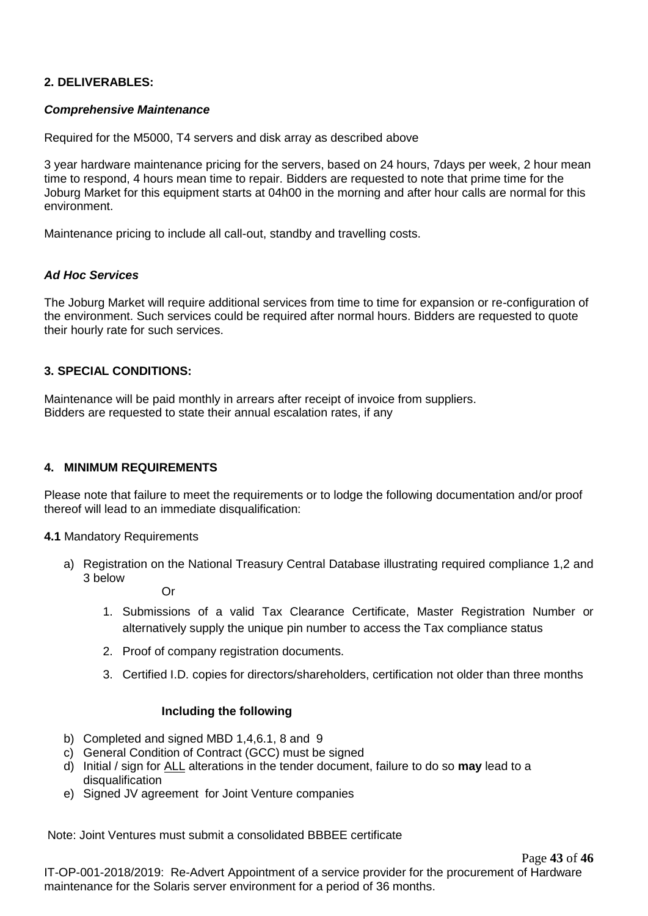### **2. DELIVERABLES:**

### *Comprehensive Maintenance*

Required for the M5000, T4 servers and disk array as described above

3 year hardware maintenance pricing for the servers, based on 24 hours, 7days per week, 2 hour mean time to respond, 4 hours mean time to repair. Bidders are requested to note that prime time for the Joburg Market for this equipment starts at 04h00 in the morning and after hour calls are normal for this environment.

Maintenance pricing to include all call-out, standby and travelling costs.

### *Ad Hoc Services*

The Joburg Market will require additional services from time to time for expansion or re-configuration of the environment. Such services could be required after normal hours. Bidders are requested to quote their hourly rate for such services.

### **3. SPECIAL CONDITIONS:**

Maintenance will be paid monthly in arrears after receipt of invoice from suppliers. Bidders are requested to state their annual escalation rates, if any

### **4. MINIMUM REQUIREMENTS**

Please note that failure to meet the requirements or to lodge the following documentation and/or proof thereof will lead to an immediate disqualification:

**4.1** Mandatory Requirements

a) Registration on the National Treasury Central Database illustrating required compliance 1,2 and 3 below

Or

- 1. Submissions of a valid Tax Clearance Certificate, Master Registration Number or alternatively supply the unique pin number to access the Tax compliance status
- 2. Proof of company registration documents.
- 3. Certified I.D. copies for directors/shareholders, certification not older than three months

### **Including the following**

- b) Completed and signed MBD 1,4,6.1, 8 and 9
- c) General Condition of Contract (GCC) must be signed
- d) Initial / sign for ALL alterations in the tender document, failure to do so **may** lead to a disqualification
- e) Signed JV agreement for Joint Venture companies

Note: Joint Ventures must submit a consolidated BBBEE certificate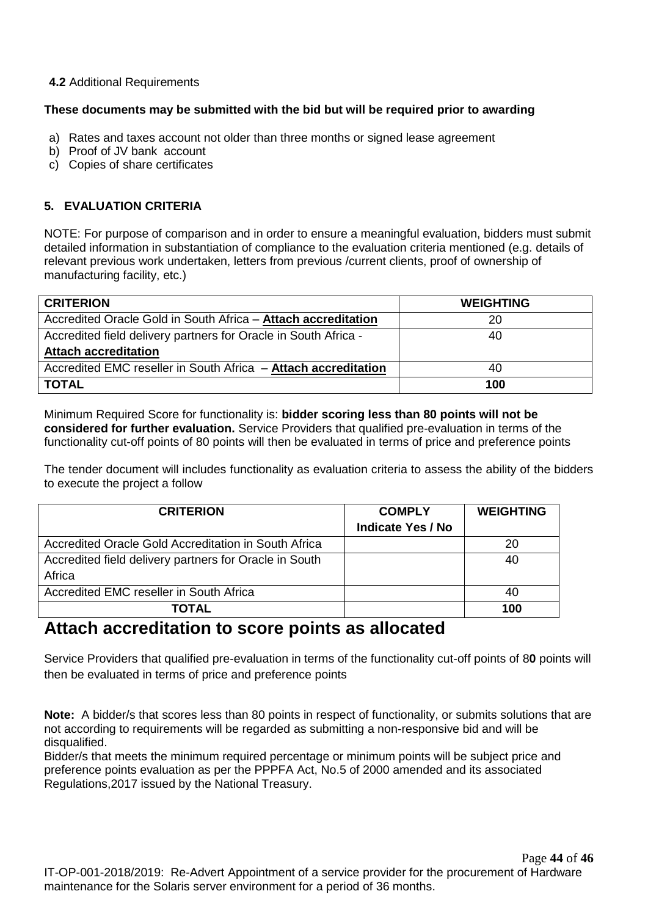### **4.2** Additional Requirements

### **These documents may be submitted with the bid but will be required prior to awarding**

- a) Rates and taxes account not older than three months or signed lease agreement
- b) Proof of JV bank account
- c) Copies of share certificates

### **5. EVALUATION CRITERIA**

NOTE: For purpose of comparison and in order to ensure a meaningful evaluation, bidders must submit detailed information in substantiation of compliance to the evaluation criteria mentioned (e.g. details of relevant previous work undertaken, letters from previous /current clients, proof of ownership of manufacturing facility, etc.)

| <b>CRITERION</b>                                                | <b>WEIGHTING</b> |
|-----------------------------------------------------------------|------------------|
| Accredited Oracle Gold in South Africa - Attach accreditation   | 20               |
| Accredited field delivery partners for Oracle in South Africa - | 40               |
| <b>Attach accreditation</b>                                     |                  |
| Accredited EMC reseller in South Africa - Attach accreditation  | 40               |
| <b>TOTAL</b>                                                    | 100              |

Minimum Required Score for functionality is: **bidder scoring less than 80 points will not be considered for further evaluation.** Service Providers that qualified pre-evaluation in terms of the functionality cut-off points of 80 points will then be evaluated in terms of price and preference points

The tender document will includes functionality as evaluation criteria to assess the ability of the bidders to execute the project a follow

| <b>CRITERION</b>                                       | <b>COMPLY</b>            | <b>WEIGHTING</b> |
|--------------------------------------------------------|--------------------------|------------------|
|                                                        | <b>Indicate Yes / No</b> |                  |
| Accredited Oracle Gold Accreditation in South Africa   |                          | 20               |
| Accredited field delivery partners for Oracle in South |                          | 40               |
| Africa                                                 |                          |                  |
| Accredited EMC reseller in South Africa                |                          | 40               |
| ΤΟΤΑL                                                  |                          | 100              |

# **Attach accreditation to score points as allocated**

Service Providers that qualified pre-evaluation in terms of the functionality cut-off points of 8**0** points will then be evaluated in terms of price and preference points

**Note:** A bidder/s that scores less than 80 points in respect of functionality, or submits solutions that are not according to requirements will be regarded as submitting a non-responsive bid and will be disqualified.

Bidder/s that meets the minimum required percentage or minimum points will be subject price and preference points evaluation as per the PPPFA Act, No.5 of 2000 amended and its associated Regulations,2017 issued by the National Treasury.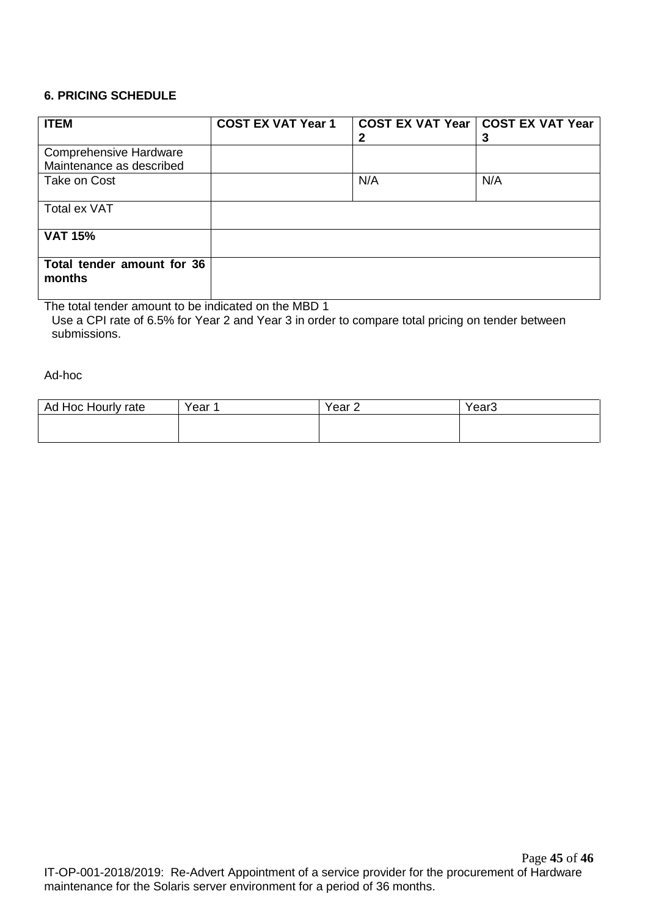### **6. PRICING SCHEDULE**

| <b>ITEM</b>                                               | <b>COST EX VAT Year 1</b> |     | COST EX VAT Year   COST EX VAT Year<br>3 |
|-----------------------------------------------------------|---------------------------|-----|------------------------------------------|
| <b>Comprehensive Hardware</b><br>Maintenance as described |                           |     |                                          |
| Take on Cost                                              |                           | N/A | N/A                                      |
| Total ex VAT                                              |                           |     |                                          |
| <b>VAT 15%</b>                                            |                           |     |                                          |
| Total tender amount for 36<br>months                      |                           |     |                                          |

The total tender amount to be indicated on the MBD 1 Use a CPI rate of 6.5% for Year 2 and Year 3 in order to compare total pricing on tender between submissions.

Ad-hoc

| Hoc Hourly rate<br>Ad, | Year | Year <sub>2</sub> | Year <sub>3</sub> |
|------------------------|------|-------------------|-------------------|
|                        |      |                   |                   |
|                        |      |                   |                   |